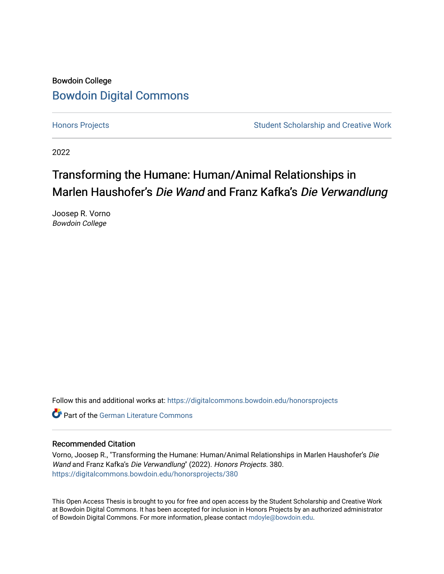## Bowdoin College [Bowdoin Digital Commons](https://digitalcommons.bowdoin.edu/)

[Honors Projects](https://digitalcommons.bowdoin.edu/honorsprojects) **Student Scholarship and Creative Work** Student Scholarship and Creative Work

2022

# Transforming the Humane: Human/Animal Relationships in Marlen Haushofer's Die Wand and Franz Kafka's Die Verwandlung

Joosep R. Vorno Bowdoin College

Follow this and additional works at: [https://digitalcommons.bowdoin.edu/honorsprojects](https://digitalcommons.bowdoin.edu/honorsprojects?utm_source=digitalcommons.bowdoin.edu%2Fhonorsprojects%2F380&utm_medium=PDF&utm_campaign=PDFCoverPages)

**C** Part of the German Literature Commons

#### Recommended Citation

Vorno, Joosep R., "Transforming the Humane: Human/Animal Relationships in Marlen Haushofer's Die Wand and Franz Kafka's Die Verwandlung" (2022). Honors Projects. 380. [https://digitalcommons.bowdoin.edu/honorsprojects/380](https://digitalcommons.bowdoin.edu/honorsprojects/380?utm_source=digitalcommons.bowdoin.edu%2Fhonorsprojects%2F380&utm_medium=PDF&utm_campaign=PDFCoverPages)

This Open Access Thesis is brought to you for free and open access by the Student Scholarship and Creative Work at Bowdoin Digital Commons. It has been accepted for inclusion in Honors Projects by an authorized administrator of Bowdoin Digital Commons. For more information, please contact [mdoyle@bowdoin.edu.](mailto:mdoyle@bowdoin.edu)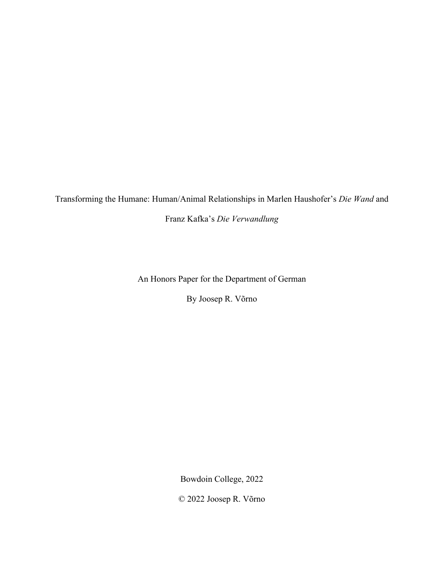Transforming the Humane: Human/Animal Relationships in Marlen Haushofer's *Die Wand* and

Franz Kafka's *Die Verwandlung*

An Honors Paper for the Department of German

By Joosep R. Võrno

Bowdoin College, 2022

© 2022 Joosep R. Võrno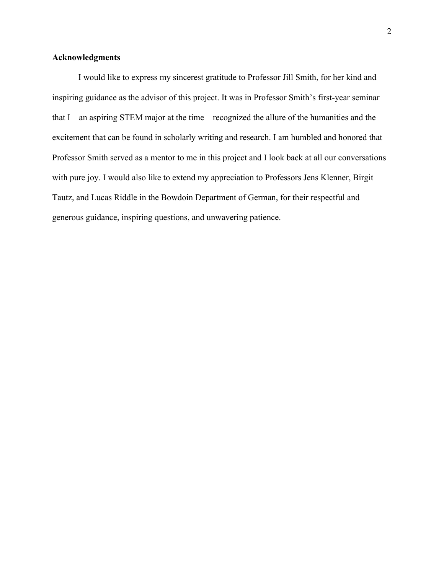#### **Acknowledgments**

I would like to express my sincerest gratitude to Professor Jill Smith, for her kind and inspiring guidance as the advisor of this project. It was in Professor Smith's first-year seminar that  $I$  – an aspiring STEM major at the time – recognized the allure of the humanities and the excitement that can be found in scholarly writing and research. I am humbled and honored that Professor Smith served as a mentor to me in this project and I look back at all our conversations with pure joy. I would also like to extend my appreciation to Professors Jens Klenner, Birgit Tautz, and Lucas Riddle in the Bowdoin Department of German, for their respectful and generous guidance, inspiring questions, and unwavering patience.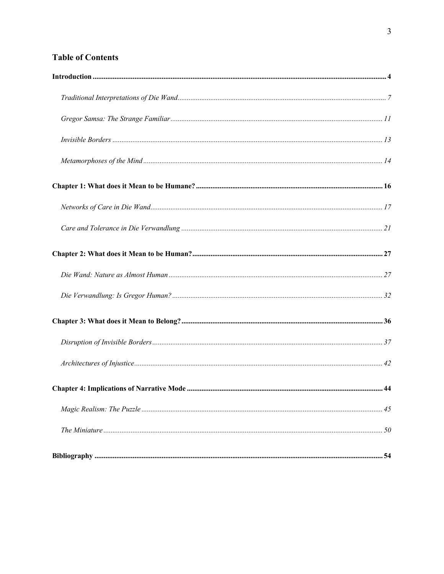### **Table of Contents**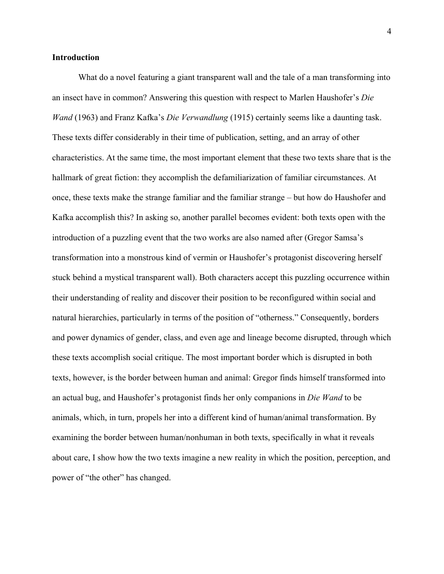#### **Introduction**

What do a novel featuring a giant transparent wall and the tale of a man transforming into an insect have in common? Answering this question with respect to Marlen Haushofer's *Die Wand* (1963) and Franz Kafka's *Die Verwandlung* (1915) certainly seems like a daunting task. These texts differ considerably in their time of publication, setting, and an array of other characteristics. At the same time, the most important element that these two texts share that is the hallmark of great fiction: they accomplish the defamiliarization of familiar circumstances. At once, these texts make the strange familiar and the familiar strange – but how do Haushofer and Kafka accomplish this? In asking so, another parallel becomes evident: both texts open with the introduction of a puzzling event that the two works are also named after (Gregor Samsa's transformation into a monstrous kind of vermin or Haushofer's protagonist discovering herself stuck behind a mystical transparent wall). Both characters accept this puzzling occurrence within their understanding of reality and discover their position to be reconfigured within social and natural hierarchies, particularly in terms of the position of "otherness." Consequently, borders and power dynamics of gender, class, and even age and lineage become disrupted, through which these texts accomplish social critique. The most important border which is disrupted in both texts, however, is the border between human and animal: Gregor finds himself transformed into an actual bug, and Haushofer's protagonist finds her only companions in *Die Wand* to be animals, which, in turn, propels her into a different kind of human/animal transformation. By examining the border between human/nonhuman in both texts, specifically in what it reveals about care, I show how the two texts imagine a new reality in which the position, perception, and power of "the other" has changed.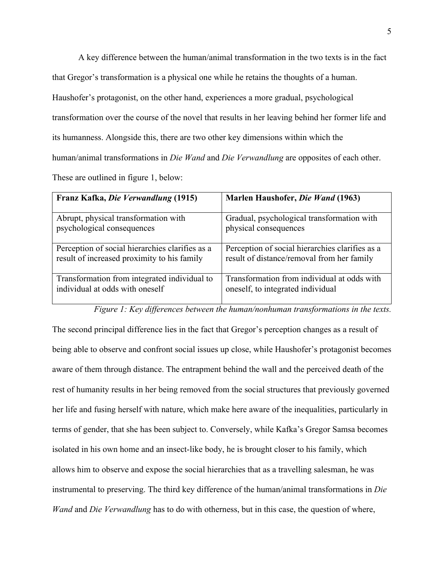A key difference between the human/animal transformation in the two texts is in the fact that Gregor's transformation is a physical one while he retains the thoughts of a human. Haushofer's protagonist, on the other hand, experiences a more gradual, psychological transformation over the course of the novel that results in her leaving behind her former life and its humanness. Alongside this, there are two other key dimensions within which the human/animal transformations in *Die Wand* and *Die Verwandlung* are opposites of each other. These are outlined in figure 1, below:

| Franz Kafka, Die Verwandlung (1915)             | Marlen Haushofer, Die Wand (1963)               |
|-------------------------------------------------|-------------------------------------------------|
| Abrupt, physical transformation with            | Gradual, psychological transformation with      |
| psychological consequences                      | physical consequences                           |
| Perception of social hierarchies clarifies as a | Perception of social hierarchies clarifies as a |
| result of increased proximity to his family     | result of distance/removal from her family      |
| Transformation from integrated individual to    | Transformation from individual at odds with     |
| individual at odds with oneself                 | oneself, to integrated individual               |

# *Figure 1: Key differences between the human/nonhuman transformations in the texts.*

The second principal difference lies in the fact that Gregor's perception changes as a result of being able to observe and confront social issues up close, while Haushofer's protagonist becomes aware of them through distance. The entrapment behind the wall and the perceived death of the rest of humanity results in her being removed from the social structures that previously governed her life and fusing herself with nature, which make here aware of the inequalities, particularly in terms of gender, that she has been subject to. Conversely, while Kafka's Gregor Samsa becomes isolated in his own home and an insect-like body, he is brought closer to his family, which allows him to observe and expose the social hierarchies that as a travelling salesman, he was instrumental to preserving. The third key difference of the human/animal transformations in *Die Wand* and *Die Verwandlung* has to do with otherness, but in this case, the question of where,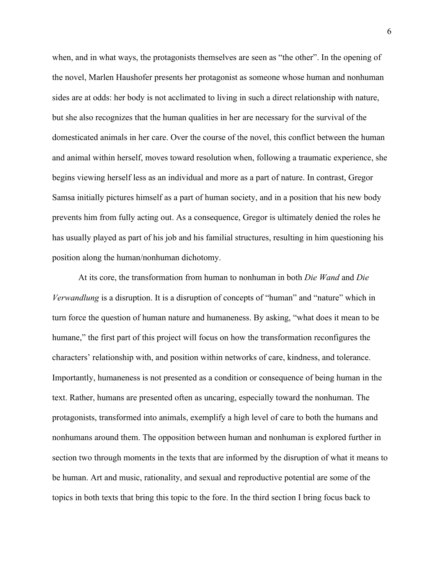when, and in what ways, the protagonists themselves are seen as "the other". In the opening of the novel, Marlen Haushofer presents her protagonist as someone whose human and nonhuman sides are at odds: her body is not acclimated to living in such a direct relationship with nature, but she also recognizes that the human qualities in her are necessary for the survival of the domesticated animals in her care. Over the course of the novel, this conflict between the human and animal within herself, moves toward resolution when, following a traumatic experience, she begins viewing herself less as an individual and more as a part of nature. In contrast, Gregor Samsa initially pictures himself as a part of human society, and in a position that his new body prevents him from fully acting out. As a consequence, Gregor is ultimately denied the roles he has usually played as part of his job and his familial structures, resulting in him questioning his position along the human/nonhuman dichotomy.

At its core, the transformation from human to nonhuman in both *Die Wand* and *Die Verwandlung* is a disruption. It is a disruption of concepts of "human" and "nature" which in turn force the question of human nature and humaneness. By asking, "what does it mean to be humane," the first part of this project will focus on how the transformation reconfigures the characters' relationship with, and position within networks of care, kindness, and tolerance. Importantly, humaneness is not presented as a condition or consequence of being human in the text. Rather, humans are presented often as uncaring, especially toward the nonhuman. The protagonists, transformed into animals, exemplify a high level of care to both the humans and nonhumans around them. The opposition between human and nonhuman is explored further in section two through moments in the texts that are informed by the disruption of what it means to be human. Art and music, rationality, and sexual and reproductive potential are some of the topics in both texts that bring this topic to the fore. In the third section I bring focus back to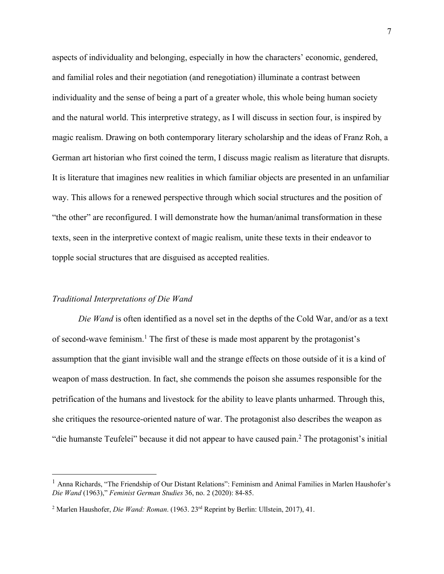aspects of individuality and belonging, especially in how the characters' economic, gendered, and familial roles and their negotiation (and renegotiation) illuminate a contrast between individuality and the sense of being a part of a greater whole, this whole being human society and the natural world. This interpretive strategy, as I will discuss in section four, is inspired by magic realism. Drawing on both contemporary literary scholarship and the ideas of Franz Roh, a German art historian who first coined the term, I discuss magic realism as literature that disrupts. It is literature that imagines new realities in which familiar objects are presented in an unfamiliar way. This allows for a renewed perspective through which social structures and the position of "the other" are reconfigured. I will demonstrate how the human/animal transformation in these texts, seen in the interpretive context of magic realism, unite these texts in their endeavor to topple social structures that are disguised as accepted realities.

#### *Traditional Interpretations of Die Wand*

*Die Wand* is often identified as a novel set in the depths of the Cold War, and/or as a text of second-wave feminism.1 The first of these is made most apparent by the protagonist's assumption that the giant invisible wall and the strange effects on those outside of it is a kind of weapon of mass destruction. In fact, she commends the poison she assumes responsible for the petrification of the humans and livestock for the ability to leave plants unharmed. Through this, she critiques the resource-oriented nature of war. The protagonist also describes the weapon as "die humanste Teufelei" because it did not appear to have caused pain.2 The protagonist's initial

<sup>&</sup>lt;sup>1</sup> Anna Richards, "The Friendship of Our Distant Relations": Feminism and Animal Families in Marlen Haushofer's *Die Wand* (1963)," *Feminist German Studies* 36, no. 2 (2020): 84-85.

<sup>2</sup> Marlen Haushofer, *Die Wand: Roman*. (1963. 23rd Reprint by Berlin: Ullstein, 2017), 41.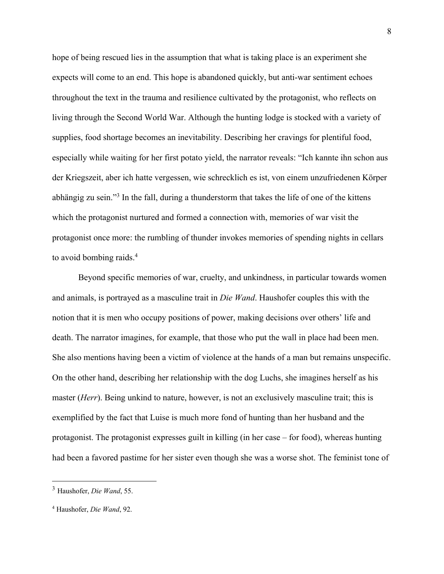hope of being rescued lies in the assumption that what is taking place is an experiment she expects will come to an end. This hope is abandoned quickly, but anti-war sentiment echoes throughout the text in the trauma and resilience cultivated by the protagonist, who reflects on living through the Second World War. Although the hunting lodge is stocked with a variety of supplies, food shortage becomes an inevitability. Describing her cravings for plentiful food, especially while waiting for her first potato yield, the narrator reveals: "Ich kannte ihn schon aus der Kriegszeit, aber ich hatte vergessen, wie schrecklich es ist, von einem unzufriedenen Körper abhängig zu sein."<sup>3</sup> In the fall, during a thunderstorm that takes the life of one of the kittens which the protagonist nurtured and formed a connection with, memories of war visit the protagonist once more: the rumbling of thunder invokes memories of spending nights in cellars to avoid bombing raids.<sup>4</sup>

Beyond specific memories of war, cruelty, and unkindness, in particular towards women and animals, is portrayed as a masculine trait in *Die Wand*. Haushofer couples this with the notion that it is men who occupy positions of power, making decisions over others' life and death. The narrator imagines, for example, that those who put the wall in place had been men. She also mentions having been a victim of violence at the hands of a man but remains unspecific. On the other hand, describing her relationship with the dog Luchs, she imagines herself as his master (*Herr*). Being unkind to nature, however, is not an exclusively masculine trait; this is exemplified by the fact that Luise is much more fond of hunting than her husband and the protagonist. The protagonist expresses guilt in killing (in her case – for food), whereas hunting had been a favored pastime for her sister even though she was a worse shot. The feminist tone of

<sup>3</sup> Haushofer, *Die Wand*, 55.

<sup>4</sup> Haushofer, *Die Wand*, 92.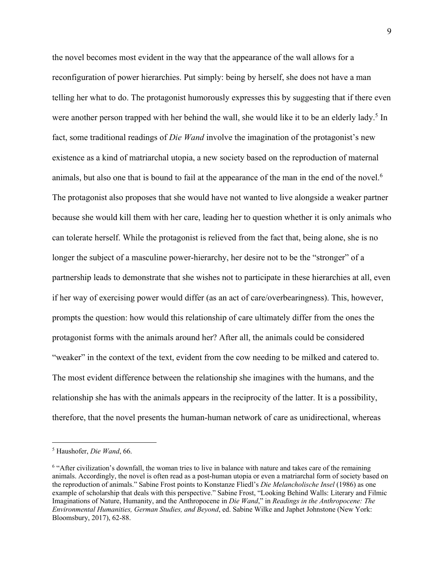the novel becomes most evident in the way that the appearance of the wall allows for a reconfiguration of power hierarchies. Put simply: being by herself, she does not have a man telling her what to do. The protagonist humorously expresses this by suggesting that if there even were another person trapped with her behind the wall, she would like it to be an elderly lady.<sup>5</sup> In fact, some traditional readings of *Die Wand* involve the imagination of the protagonist's new existence as a kind of matriarchal utopia, a new society based on the reproduction of maternal animals, but also one that is bound to fail at the appearance of the man in the end of the novel.<sup>6</sup> The protagonist also proposes that she would have not wanted to live alongside a weaker partner because she would kill them with her care, leading her to question whether it is only animals who can tolerate herself. While the protagonist is relieved from the fact that, being alone, she is no longer the subject of a masculine power-hierarchy, her desire not to be the "stronger" of a partnership leads to demonstrate that she wishes not to participate in these hierarchies at all, even if her way of exercising power would differ (as an act of care/overbearingness). This, however, prompts the question: how would this relationship of care ultimately differ from the ones the protagonist forms with the animals around her? After all, the animals could be considered "weaker" in the context of the text, evident from the cow needing to be milked and catered to. The most evident difference between the relationship she imagines with the humans, and the relationship she has with the animals appears in the reciprocity of the latter. It is a possibility, therefore, that the novel presents the human-human network of care as unidirectional, whereas

<sup>5</sup> Haushofer, *Die Wand*, 66.

<sup>&</sup>lt;sup>6</sup> "After civilization's downfall, the woman tries to live in balance with nature and takes care of the remaining animals. Accordingly, the novel is often read as a post-human utopia or even a matriarchal form of society based on the reproduction of animals." Sabine Frost points to Konstanze Fliedl's *Die Melancholische Insel* (1986) as one example of scholarship that deals with this perspective." Sabine Frost, "Looking Behind Walls: Literary and Filmic Imaginations of Nature, Humanity, and the Anthropocene in *Die Wand*," in *Readings in the Anthropocene: The Environmental Humanities, German Studies, and Beyond*, ed. Sabine Wilke and Japhet Johnstone (New York: Bloomsbury, 2017), 62-88.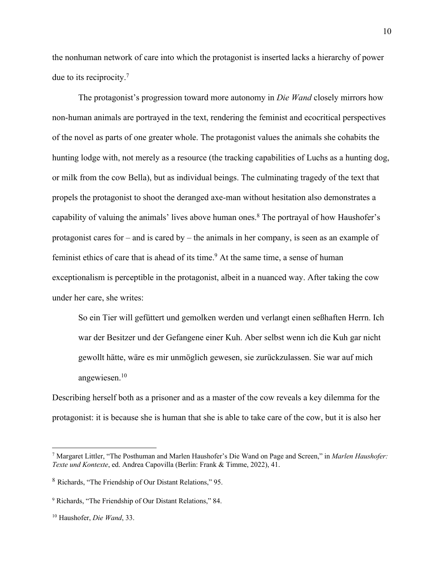the nonhuman network of care into which the protagonist is inserted lacks a hierarchy of power due to its reciprocity.7

The protagonist's progression toward more autonomy in *Die Wand* closely mirrors how non-human animals are portrayed in the text, rendering the feminist and ecocritical perspectives of the novel as parts of one greater whole. The protagonist values the animals she cohabits the hunting lodge with, not merely as a resource (the tracking capabilities of Luchs as a hunting dog, or milk from the cow Bella), but as individual beings. The culminating tragedy of the text that propels the protagonist to shoot the deranged axe-man without hesitation also demonstrates a capability of valuing the animals' lives above human ones.<sup>8</sup> The portrayal of how Haushofer's protagonist cares for – and is cared by – the animals in her company, is seen as an example of feminist ethics of care that is ahead of its time.<sup>9</sup> At the same time, a sense of human exceptionalism is perceptible in the protagonist, albeit in a nuanced way. After taking the cow under her care, she writes:

So ein Tier will gefüttert und gemolken werden und verlangt einen seßhaften Herrn. Ich war der Besitzer und der Gefangene einer Kuh. Aber selbst wenn ich die Kuh gar nicht gewollt hätte, wäre es mir unmöglich gewesen, sie zurückzulassen. Sie war auf mich angewiesen.10

Describing herself both as a prisoner and as a master of the cow reveals a key dilemma for the protagonist: it is because she is human that she is able to take care of the cow, but it is also her

<sup>7</sup> Margaret Littler, "The Posthuman and Marlen Haushofer's Die Wand on Page and Screen," in *Marlen Haushofer: Texte und Kontexte*, ed. Andrea Capovilla (Berlin: Frank & Timme, 2022), 41.

<sup>8</sup> Richards, "The Friendship of Our Distant Relations," 95.

<sup>9</sup> Richards, "The Friendship of Our Distant Relations," 84.

<sup>10</sup> Haushofer, *Die Wand*, 33.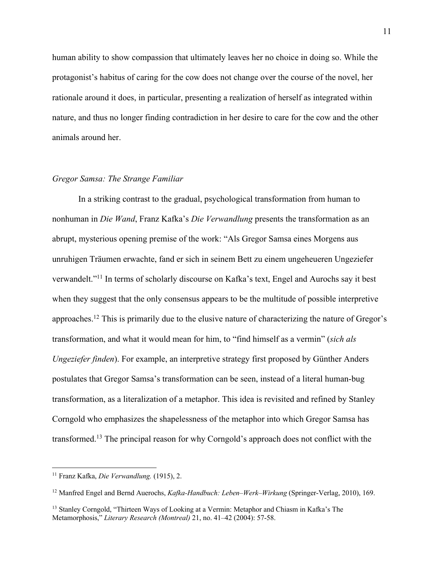human ability to show compassion that ultimately leaves her no choice in doing so. While the protagonist's habitus of caring for the cow does not change over the course of the novel, her rationale around it does, in particular, presenting a realization of herself as integrated within nature, and thus no longer finding contradiction in her desire to care for the cow and the other animals around her.

#### *Gregor Samsa: The Strange Familiar*

In a striking contrast to the gradual, psychological transformation from human to nonhuman in *Die Wand*, Franz Kafka's *Die Verwandlung* presents the transformation as an abrupt, mysterious opening premise of the work: "Als Gregor Samsa eines Morgens aus unruhigen Träumen erwachte, fand er sich in seinem Bett zu einem ungeheueren Ungeziefer verwandelt."11 In terms of scholarly discourse on Kafka's text, Engel and Aurochs say it best when they suggest that the only consensus appears to be the multitude of possible interpretive approaches.12 This is primarily due to the elusive nature of characterizing the nature of Gregor's transformation, and what it would mean for him, to "find himself as a vermin" (*sich als Ungeziefer finden*). For example, an interpretive strategy first proposed by Günther Anders postulates that Gregor Samsa's transformation can be seen, instead of a literal human-bug transformation, as a literalization of a metaphor. This idea is revisited and refined by Stanley Corngold who emphasizes the shapelessness of the metaphor into which Gregor Samsa has transformed.13 The principal reason for why Corngold's approach does not conflict with the

<sup>12</sup> Manfred Engel and Bernd Auerochs, *Kafka-Handbuch: Leben–Werk–Wirkung* (Springer-Verlag, 2010), 169.

<sup>11</sup> Franz Kafka, *Die Verwandlung.* (1915), 2.

<sup>&</sup>lt;sup>13</sup> Stanley Corngold, "Thirteen Ways of Looking at a Vermin: Metaphor and Chiasm in Kafka's The Metamorphosis," *Literary Research (Montreal)* 21, no. 41–42 (2004): 57-58.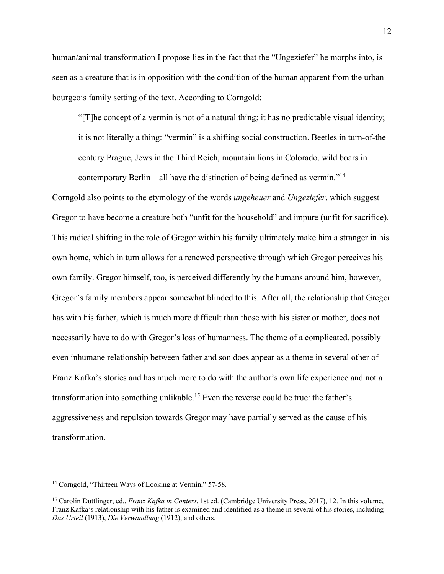human/animal transformation I propose lies in the fact that the "Ungeziefer" he morphs into, is seen as a creature that is in opposition with the condition of the human apparent from the urban bourgeois family setting of the text. According to Corngold:

"[T]he concept of a vermin is not of a natural thing; it has no predictable visual identity; it is not literally a thing: "vermin" is a shifting social construction. Beetles in turn-of-the century Prague, Jews in the Third Reich, mountain lions in Colorado, wild boars in contemporary Berlin – all have the distinction of being defined as vermin."<sup>14</sup>

Corngold also points to the etymology of the words *ungeheuer* and *Ungeziefer*, which suggest Gregor to have become a creature both "unfit for the household" and impure (unfit for sacrifice). This radical shifting in the role of Gregor within his family ultimately make him a stranger in his own home, which in turn allows for a renewed perspective through which Gregor perceives his own family. Gregor himself, too, is perceived differently by the humans around him, however, Gregor's family members appear somewhat blinded to this. After all, the relationship that Gregor has with his father, which is much more difficult than those with his sister or mother, does not necessarily have to do with Gregor's loss of humanness. The theme of a complicated, possibly even inhumane relationship between father and son does appear as a theme in several other of Franz Kafka's stories and has much more to do with the author's own life experience and not a transformation into something unlikable.15 Even the reverse could be true: the father's aggressiveness and repulsion towards Gregor may have partially served as the cause of his transformation.

<sup>&</sup>lt;sup>14</sup> Corngold, "Thirteen Ways of Looking at Vermin," 57-58.

<sup>15</sup> Carolin Duttlinger, ed., *Franz Kafka in Context*, 1st ed. (Cambridge University Press, 2017), 12. In this volume, Franz Kafka's relationship with his father is examined and identified as a theme in several of his stories, including *Das Urteil* (1913), *Die Verwandlung* (1912), and others.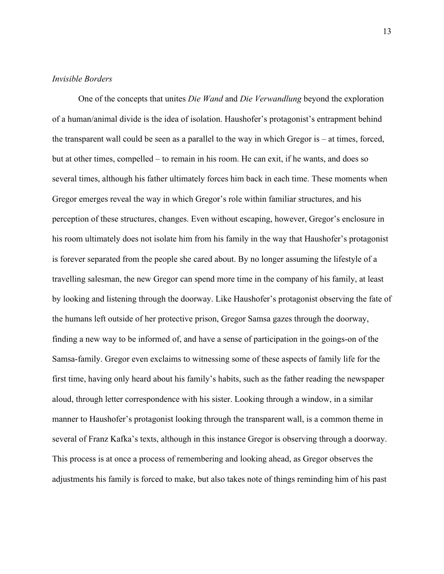#### *Invisible Borders*

One of the concepts that unites *Die Wand* and *Die Verwandlung* beyond the exploration of a human/animal divide is the idea of isolation. Haushofer's protagonist's entrapment behind the transparent wall could be seen as a parallel to the way in which Gregor is – at times, forced, but at other times, compelled – to remain in his room. He can exit, if he wants, and does so several times, although his father ultimately forces him back in each time. These moments when Gregor emerges reveal the way in which Gregor's role within familiar structures, and his perception of these structures, changes. Even without escaping, however, Gregor's enclosure in his room ultimately does not isolate him from his family in the way that Haushofer's protagonist is forever separated from the people she cared about. By no longer assuming the lifestyle of a travelling salesman, the new Gregor can spend more time in the company of his family, at least by looking and listening through the doorway. Like Haushofer's protagonist observing the fate of the humans left outside of her protective prison, Gregor Samsa gazes through the doorway, finding a new way to be informed of, and have a sense of participation in the goings-on of the Samsa-family. Gregor even exclaims to witnessing some of these aspects of family life for the first time, having only heard about his family's habits, such as the father reading the newspaper aloud, through letter correspondence with his sister. Looking through a window, in a similar manner to Haushofer's protagonist looking through the transparent wall, is a common theme in several of Franz Kafka's texts, although in this instance Gregor is observing through a doorway. This process is at once a process of remembering and looking ahead, as Gregor observes the adjustments his family is forced to make, but also takes note of things reminding him of his past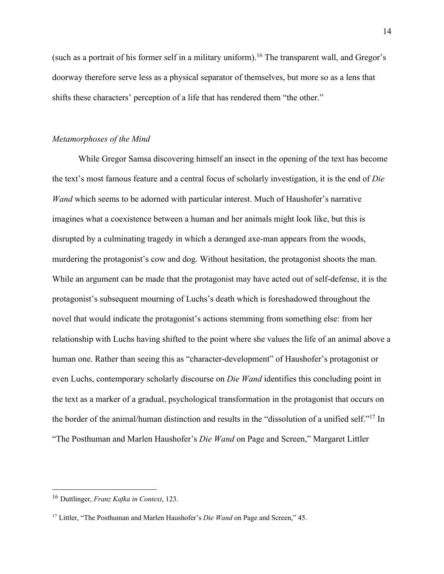(such as a portrait of his former self in a military uniform). <sup>16</sup> The transparent wall, and Gregor's doorway therefore serve less as a physical separator of themselves, but more so as a lens that shifts these characters' perception of a life that has rendered them "the other."

#### *Metamorphoses of the Mind*

While Gregor Samsa discovering himself an insect in the opening of the text has become the text's most famous feature and a central focus of scholarly investigation, it is the end of *Die Wand* which seems to be adorned with particular interest. Much of Haushofer's narrative imagines what a coexistence between a human and her animals might look like, but this is disrupted by a culminating tragedy in which a deranged axe-man appears from the woods, murdering the protagonist's cow and dog. Without hesitation, the protagonist shoots the man. While an argument can be made that the protagonist may have acted out of self-defense, it is the protagonist's subsequent mourning of Luchs's death which is foreshadowed throughout the novel that would indicate the protagonist's actions stemming from something else: from her relationship with Luchs having shifted to the point where she values the life of an animal above a human one. Rather than seeing this as "character-development" of Haushofer's protagonist or even Luchs, contemporary scholarly discourse on *Die Wand* identifies this concluding point in the text as a marker of a gradual, psychological transformation in the protagonist that occurs on the border of the animal/human distinction and results in the "dissolution of a unified self."17 In "The Posthuman and Marlen Haushofer's *Die Wand* on Page and Screen," Margaret Littler

<sup>16</sup> Duttlinger, *Franz Kafka in Context*, 123.

<sup>17</sup> Littler, "The Posthuman and Marlen Haushofer's *Die Wand* on Page and Screen," 45.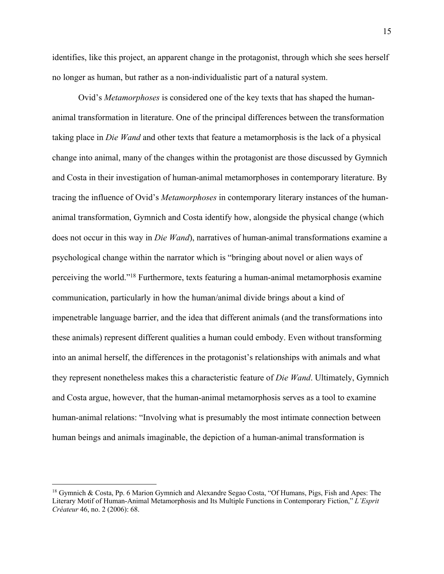identifies, like this project, an apparent change in the protagonist, through which she sees herself no longer as human, but rather as a non-individualistic part of a natural system.

Ovid's *Metamorphoses* is considered one of the key texts that has shaped the humananimal transformation in literature. One of the principal differences between the transformation taking place in *Die Wand* and other texts that feature a metamorphosis is the lack of a physical change into animal, many of the changes within the protagonist are those discussed by Gymnich and Costa in their investigation of human-animal metamorphoses in contemporary literature. By tracing the influence of Ovid's *Metamorphoses* in contemporary literary instances of the humananimal transformation, Gymnich and Costa identify how, alongside the physical change (which does not occur in this way in *Die Wand*), narratives of human-animal transformations examine a psychological change within the narrator which is "bringing about novel or alien ways of perceiving the world."18 Furthermore, texts featuring a human-animal metamorphosis examine communication, particularly in how the human/animal divide brings about a kind of impenetrable language barrier, and the idea that different animals (and the transformations into these animals) represent different qualities a human could embody. Even without transforming into an animal herself, the differences in the protagonist's relationships with animals and what they represent nonetheless makes this a characteristic feature of *Die Wand*. Ultimately, Gymnich and Costa argue, however, that the human-animal metamorphosis serves as a tool to examine human-animal relations: "Involving what is presumably the most intimate connection between human beings and animals imaginable, the depiction of a human-animal transformation is

<sup>&</sup>lt;sup>18</sup> Gymnich & Costa, Pp. 6 Marion Gymnich and Alexandre Segao Costa, "Of Humans, Pigs, Fish and Apes: The Literary Motif of Human-Animal Metamorphosis and Its Multiple Functions in Contemporary Fiction," *L'Esprit Créateur* 46, no. 2 (2006): 68.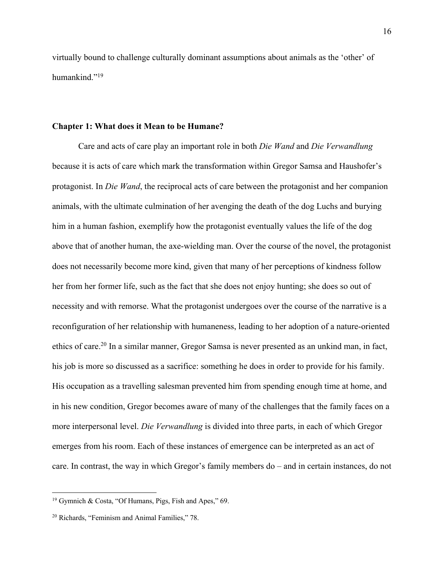virtually bound to challenge culturally dominant assumptions about animals as the 'other' of humankind."19

#### **Chapter 1: What does it Mean to be Humane?**

Care and acts of care play an important role in both *Die Wand* and *Die Verwandlung* because it is acts of care which mark the transformation within Gregor Samsa and Haushofer's protagonist. In *Die Wand*, the reciprocal acts of care between the protagonist and her companion animals, with the ultimate culmination of her avenging the death of the dog Luchs and burying him in a human fashion, exemplify how the protagonist eventually values the life of the dog above that of another human, the axe-wielding man. Over the course of the novel, the protagonist does not necessarily become more kind, given that many of her perceptions of kindness follow her from her former life, such as the fact that she does not enjoy hunting; she does so out of necessity and with remorse. What the protagonist undergoes over the course of the narrative is a reconfiguration of her relationship with humaneness, leading to her adoption of a nature-oriented ethics of care.<sup>20</sup> In a similar manner, Gregor Samsa is never presented as an unkind man, in fact, his job is more so discussed as a sacrifice: something he does in order to provide for his family. His occupation as a travelling salesman prevented him from spending enough time at home, and in his new condition, Gregor becomes aware of many of the challenges that the family faces on a more interpersonal level. *Die Verwandlung* is divided into three parts, in each of which Gregor emerges from his room. Each of these instances of emergence can be interpreted as an act of care. In contrast, the way in which Gregor's family members do – and in certain instances, do not

<sup>19</sup> Gymnich & Costa, "Of Humans, Pigs, Fish and Apes," 69.

<sup>20</sup> Richards, "Feminism and Animal Families," 78.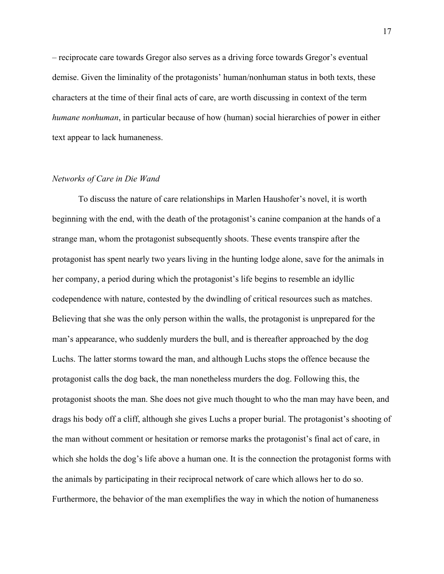– reciprocate care towards Gregor also serves as a driving force towards Gregor's eventual demise. Given the liminality of the protagonists' human/nonhuman status in both texts, these characters at the time of their final acts of care, are worth discussing in context of the term *humane nonhuman*, in particular because of how (human) social hierarchies of power in either text appear to lack humaneness.

#### *Networks of Care in Die Wand*

To discuss the nature of care relationships in Marlen Haushofer's novel, it is worth beginning with the end, with the death of the protagonist's canine companion at the hands of a strange man, whom the protagonist subsequently shoots. These events transpire after the protagonist has spent nearly two years living in the hunting lodge alone, save for the animals in her company, a period during which the protagonist's life begins to resemble an idyllic codependence with nature, contested by the dwindling of critical resources such as matches. Believing that she was the only person within the walls, the protagonist is unprepared for the man's appearance, who suddenly murders the bull, and is thereafter approached by the dog Luchs. The latter storms toward the man, and although Luchs stops the offence because the protagonist calls the dog back, the man nonetheless murders the dog. Following this, the protagonist shoots the man. She does not give much thought to who the man may have been, and drags his body off a cliff, although she gives Luchs a proper burial. The protagonist's shooting of the man without comment or hesitation or remorse marks the protagonist's final act of care, in which she holds the dog's life above a human one. It is the connection the protagonist forms with the animals by participating in their reciprocal network of care which allows her to do so. Furthermore, the behavior of the man exemplifies the way in which the notion of humaneness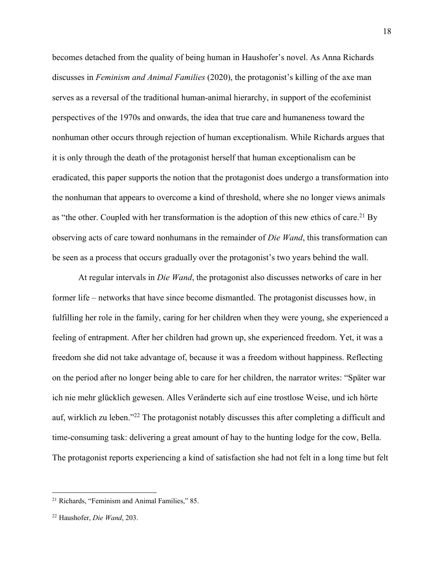becomes detached from the quality of being human in Haushofer's novel. As Anna Richards discusses in *Feminism and Animal Families* (2020), the protagonist's killing of the axe man serves as a reversal of the traditional human-animal hierarchy, in support of the ecofeminist perspectives of the 1970s and onwards, the idea that true care and humaneness toward the nonhuman other occurs through rejection of human exceptionalism. While Richards argues that it is only through the death of the protagonist herself that human exceptionalism can be eradicated, this paper supports the notion that the protagonist does undergo a transformation into the nonhuman that appears to overcome a kind of threshold, where she no longer views animals as "the other. Coupled with her transformation is the adoption of this new ethics of care.<sup>21</sup> By observing acts of care toward nonhumans in the remainder of *Die Wand*, this transformation can be seen as a process that occurs gradually over the protagonist's two years behind the wall.

At regular intervals in *Die Wand*, the protagonist also discusses networks of care in her former life – networks that have since become dismantled. The protagonist discusses how, in fulfilling her role in the family, caring for her children when they were young, she experienced a feeling of entrapment. After her children had grown up, she experienced freedom. Yet, it was a freedom she did not take advantage of, because it was a freedom without happiness. Reflecting on the period after no longer being able to care for her children, the narrator writes: "Später war ich nie mehr glücklich gewesen. Alles Veränderte sich auf eine trostlose Weise, und ich hörte auf, wirklich zu leben."22 The protagonist notably discusses this after completing a difficult and time-consuming task: delivering a great amount of hay to the hunting lodge for the cow, Bella. The protagonist reports experiencing a kind of satisfaction she had not felt in a long time but felt

<sup>21</sup> Richards, "Feminism and Animal Families," 85.

<sup>22</sup> Haushofer, *Die Wand*, 203.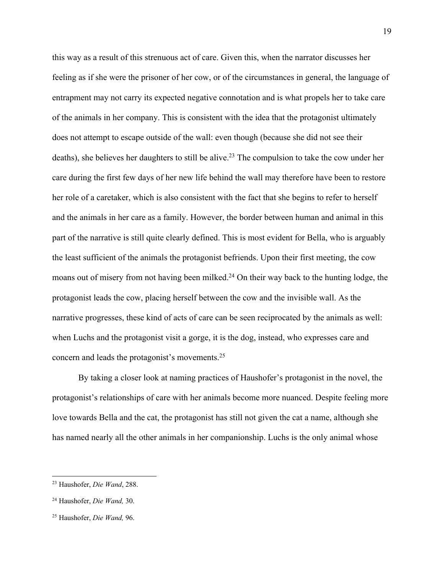this way as a result of this strenuous act of care. Given this, when the narrator discusses her feeling as if she were the prisoner of her cow, or of the circumstances in general, the language of entrapment may not carry its expected negative connotation and is what propels her to take care of the animals in her company. This is consistent with the idea that the protagonist ultimately does not attempt to escape outside of the wall: even though (because she did not see their deaths), she believes her daughters to still be alive.<sup>23</sup> The compulsion to take the cow under her care during the first few days of her new life behind the wall may therefore have been to restore her role of a caretaker, which is also consistent with the fact that she begins to refer to herself and the animals in her care as a family. However, the border between human and animal in this part of the narrative is still quite clearly defined. This is most evident for Bella, who is arguably the least sufficient of the animals the protagonist befriends. Upon their first meeting, the cow moans out of misery from not having been milked.<sup>24</sup> On their way back to the hunting lodge, the protagonist leads the cow, placing herself between the cow and the invisible wall. As the narrative progresses, these kind of acts of care can be seen reciprocated by the animals as well: when Luchs and the protagonist visit a gorge, it is the dog, instead, who expresses care and concern and leads the protagonist's movements.25

By taking a closer look at naming practices of Haushofer's protagonist in the novel, the protagonist's relationships of care with her animals become more nuanced. Despite feeling more love towards Bella and the cat, the protagonist has still not given the cat a name, although she has named nearly all the other animals in her companionship. Luchs is the only animal whose

<sup>23</sup> Haushofer, *Die Wand*, 288.

<sup>24</sup> Haushofer, *Die Wand,* 30.

<sup>25</sup> Haushofer, *Die Wand,* 96.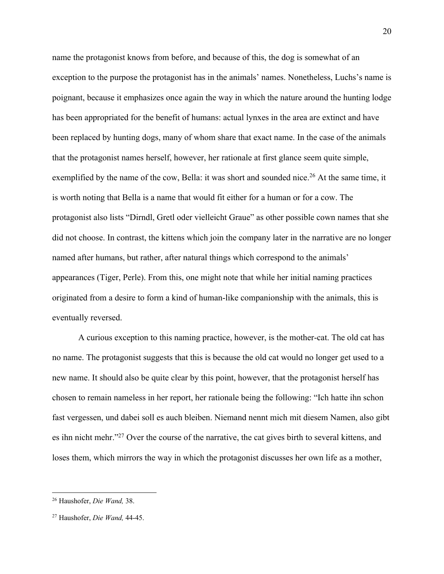name the protagonist knows from before, and because of this, the dog is somewhat of an exception to the purpose the protagonist has in the animals' names. Nonetheless, Luchs's name is poignant, because it emphasizes once again the way in which the nature around the hunting lodge has been appropriated for the benefit of humans: actual lynxes in the area are extinct and have been replaced by hunting dogs, many of whom share that exact name. In the case of the animals that the protagonist names herself, however, her rationale at first glance seem quite simple, exemplified by the name of the cow, Bella: it was short and sounded nice.<sup>26</sup> At the same time, it is worth noting that Bella is a name that would fit either for a human or for a cow. The protagonist also lists "Dirndl, Gretl oder vielleicht Graue" as other possible cown names that she did not choose. In contrast, the kittens which join the company later in the narrative are no longer named after humans, but rather, after natural things which correspond to the animals' appearances (Tiger, Perle). From this, one might note that while her initial naming practices originated from a desire to form a kind of human-like companionship with the animals, this is eventually reversed.

A curious exception to this naming practice, however, is the mother-cat. The old cat has no name. The protagonist suggests that this is because the old cat would no longer get used to a new name. It should also be quite clear by this point, however, that the protagonist herself has chosen to remain nameless in her report, her rationale being the following: "Ich hatte ihn schon fast vergessen, und dabei soll es auch bleiben. Niemand nennt mich mit diesem Namen, also gibt es ihn nicht mehr."27 Over the course of the narrative, the cat gives birth to several kittens, and loses them, which mirrors the way in which the protagonist discusses her own life as a mother,

<sup>26</sup> Haushofer, *Die Wand,* 38.

<sup>27</sup> Haushofer, *Die Wand,* 44-45.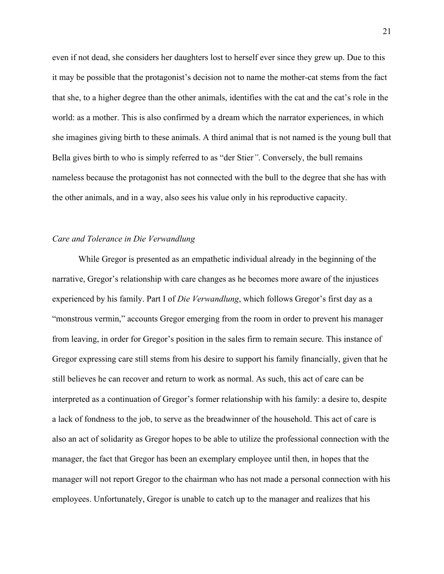even if not dead, she considers her daughters lost to herself ever since they grew up. Due to this it may be possible that the protagonist's decision not to name the mother-cat stems from the fact that she, to a higher degree than the other animals, identifies with the cat and the cat's role in the world: as a mother. This is also confirmed by a dream which the narrator experiences, in which she imagines giving birth to these animals. A third animal that is not named is the young bull that Bella gives birth to who is simply referred to as "der Stier*"*. Conversely, the bull remains nameless because the protagonist has not connected with the bull to the degree that she has with the other animals, and in a way, also sees his value only in his reproductive capacity.

#### *Care and Tolerance in Die Verwandlung*

While Gregor is presented as an empathetic individual already in the beginning of the narrative, Gregor's relationship with care changes as he becomes more aware of the injustices experienced by his family. Part I of *Die Verwandlung*, which follows Gregor's first day as a "monstrous vermin," accounts Gregor emerging from the room in order to prevent his manager from leaving, in order for Gregor's position in the sales firm to remain secure. This instance of Gregor expressing care still stems from his desire to support his family financially, given that he still believes he can recover and return to work as normal. As such, this act of care can be interpreted as a continuation of Gregor's former relationship with his family: a desire to, despite a lack of fondness to the job, to serve as the breadwinner of the household. This act of care is also an act of solidarity as Gregor hopes to be able to utilize the professional connection with the manager, the fact that Gregor has been an exemplary employee until then, in hopes that the manager will not report Gregor to the chairman who has not made a personal connection with his employees. Unfortunately, Gregor is unable to catch up to the manager and realizes that his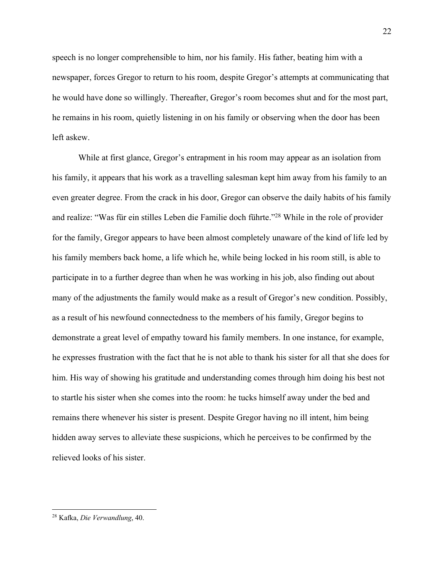speech is no longer comprehensible to him, nor his family. His father, beating him with a newspaper, forces Gregor to return to his room, despite Gregor's attempts at communicating that he would have done so willingly. Thereafter, Gregor's room becomes shut and for the most part, he remains in his room, quietly listening in on his family or observing when the door has been left askew.

While at first glance, Gregor's entrapment in his room may appear as an isolation from his family, it appears that his work as a travelling salesman kept him away from his family to an even greater degree. From the crack in his door, Gregor can observe the daily habits of his family and realize: "Was für ein stilles Leben die Familie doch führte."28 While in the role of provider for the family, Gregor appears to have been almost completely unaware of the kind of life led by his family members back home, a life which he, while being locked in his room still, is able to participate in to a further degree than when he was working in his job, also finding out about many of the adjustments the family would make as a result of Gregor's new condition. Possibly, as a result of his newfound connectedness to the members of his family, Gregor begins to demonstrate a great level of empathy toward his family members. In one instance, for example, he expresses frustration with the fact that he is not able to thank his sister for all that she does for him. His way of showing his gratitude and understanding comes through him doing his best not to startle his sister when she comes into the room: he tucks himself away under the bed and remains there whenever his sister is present. Despite Gregor having no ill intent, him being hidden away serves to alleviate these suspicions, which he perceives to be confirmed by the relieved looks of his sister.

<sup>22</sup>

<sup>28</sup> Kafka, *Die Verwandlung*, 40.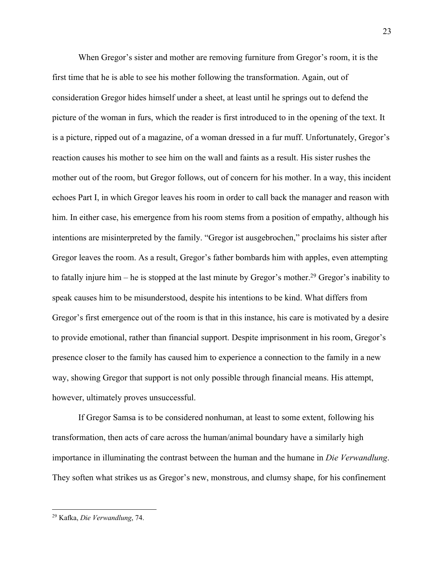When Gregor's sister and mother are removing furniture from Gregor's room, it is the first time that he is able to see his mother following the transformation. Again, out of consideration Gregor hides himself under a sheet, at least until he springs out to defend the picture of the woman in furs, which the reader is first introduced to in the opening of the text. It is a picture, ripped out of a magazine, of a woman dressed in a fur muff. Unfortunately, Gregor's reaction causes his mother to see him on the wall and faints as a result. His sister rushes the mother out of the room, but Gregor follows, out of concern for his mother. In a way, this incident echoes Part I, in which Gregor leaves his room in order to call back the manager and reason with him. In either case, his emergence from his room stems from a position of empathy, although his intentions are misinterpreted by the family. "Gregor ist ausgebrochen," proclaims his sister after Gregor leaves the room. As a result, Gregor's father bombards him with apples, even attempting to fatally injure him – he is stopped at the last minute by Gregor's mother.<sup>29</sup> Gregor's inability to speak causes him to be misunderstood, despite his intentions to be kind. What differs from Gregor's first emergence out of the room is that in this instance, his care is motivated by a desire to provide emotional, rather than financial support. Despite imprisonment in his room, Gregor's presence closer to the family has caused him to experience a connection to the family in a new way, showing Gregor that support is not only possible through financial means. His attempt, however, ultimately proves unsuccessful.

If Gregor Samsa is to be considered nonhuman, at least to some extent, following his transformation, then acts of care across the human/animal boundary have a similarly high importance in illuminating the contrast between the human and the humane in *Die Verwandlung*. They soften what strikes us as Gregor's new, monstrous, and clumsy shape, for his confinement

<sup>29</sup> Kafka, *Die Verwandlung*, 74.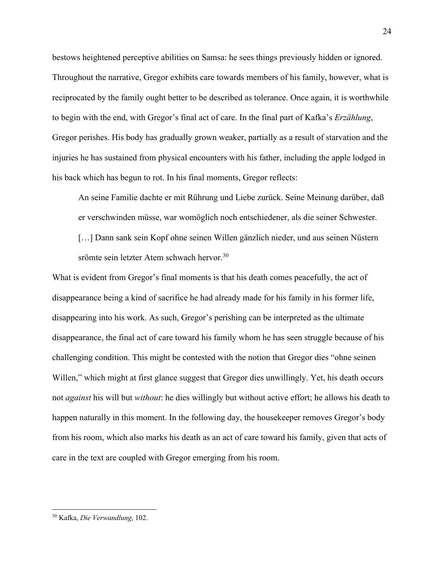bestows heightened perceptive abilities on Samsa: he sees things previously hidden or ignored. Throughout the narrative, Gregor exhibits care towards members of his family, however, what is reciprocated by the family ought better to be described as tolerance. Once again, it is worthwhile to begin with the end, with Gregor's final act of care. In the final part of Kafka's *Erzählung*, Gregor perishes. His body has gradually grown weaker, partially as a result of starvation and the injuries he has sustained from physical encounters with his father, including the apple lodged in his back which has begun to rot. In his final moments, Gregor reflects:

An seine Familie dachte er mit Rührung und Liebe zurück. Seine Meinung darüber, daß er verschwinden müsse, war womöglich noch entschiedener, als die seiner Schwester.

[...] Dann sank sein Kopf ohne seinen Willen gänzlich nieder, und aus seinen Nüstern srömte sein letzter Atem schwach hervor.<sup>30</sup>

What is evident from Gregor's final moments is that his death comes peacefully, the act of disappearance being a kind of sacrifice he had already made for his family in his former life, disappearing into his work. As such, Gregor's perishing can be interpreted as the ultimate disappearance, the final act of care toward his family whom he has seen struggle because of his challenging condition. This might be contested with the notion that Gregor dies "ohne seinen Willen," which might at first glance suggest that Gregor dies unwillingly. Yet, his death occurs not *against* his will but *without*: he dies willingly but without active effort; he allows his death to happen naturally in this moment. In the following day, the housekeeper removes Gregor's body from his room, which also marks his death as an act of care toward his family, given that acts of care in the text are coupled with Gregor emerging from his room.

<sup>30</sup> Kafka, *Die Verwandlung*, 102.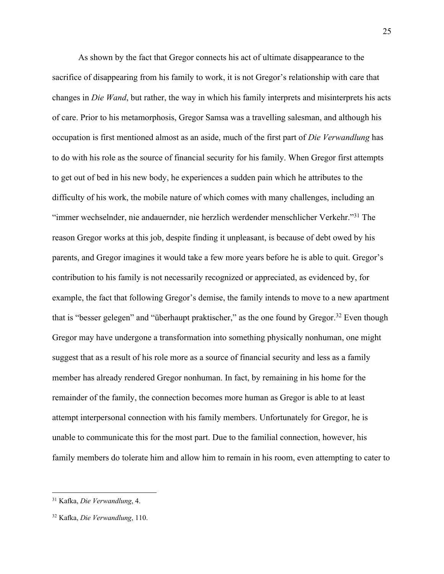As shown by the fact that Gregor connects his act of ultimate disappearance to the sacrifice of disappearing from his family to work, it is not Gregor's relationship with care that changes in *Die Wand*, but rather, the way in which his family interprets and misinterprets his acts of care. Prior to his metamorphosis, Gregor Samsa was a travelling salesman, and although his occupation is first mentioned almost as an aside, much of the first part of *Die Verwandlung* has to do with his role as the source of financial security for his family. When Gregor first attempts to get out of bed in his new body, he experiences a sudden pain which he attributes to the difficulty of his work, the mobile nature of which comes with many challenges, including an "immer wechselnder, nie andauernder, nie herzlich werdender menschlicher Verkehr."31 The reason Gregor works at this job, despite finding it unpleasant, is because of debt owed by his parents, and Gregor imagines it would take a few more years before he is able to quit. Gregor's contribution to his family is not necessarily recognized or appreciated, as evidenced by, for example, the fact that following Gregor's demise, the family intends to move to a new apartment that is "besser gelegen" and "überhaupt praktischer," as the one found by Gregor.<sup>32</sup> Even though Gregor may have undergone a transformation into something physically nonhuman, one might suggest that as a result of his role more as a source of financial security and less as a family member has already rendered Gregor nonhuman. In fact, by remaining in his home for the remainder of the family, the connection becomes more human as Gregor is able to at least attempt interpersonal connection with his family members. Unfortunately for Gregor, he is unable to communicate this for the most part. Due to the familial connection, however, his family members do tolerate him and allow him to remain in his room, even attempting to cater to

<sup>31</sup> Kafka, *Die Verwandlung*, 4.

<sup>32</sup> Kafka, *Die Verwandlung*, 110.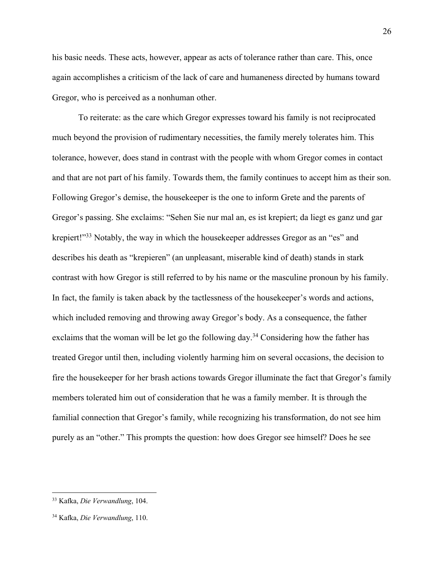his basic needs. These acts, however, appear as acts of tolerance rather than care. This, once again accomplishes a criticism of the lack of care and humaneness directed by humans toward Gregor, who is perceived as a nonhuman other.

To reiterate: as the care which Gregor expresses toward his family is not reciprocated much beyond the provision of rudimentary necessities, the family merely tolerates him. This tolerance, however, does stand in contrast with the people with whom Gregor comes in contact and that are not part of his family. Towards them, the family continues to accept him as their son. Following Gregor's demise, the housekeeper is the one to inform Grete and the parents of Gregor's passing. She exclaims: "Sehen Sie nur mal an, es ist krepiert; da liegt es ganz und gar krepiert!"<sup>33</sup> Notably, the way in which the housekeeper addresses Gregor as an "es" and describes his death as "krepieren" (an unpleasant, miserable kind of death) stands in stark contrast with how Gregor is still referred to by his name or the masculine pronoun by his family. In fact, the family is taken aback by the tactlessness of the housekeeper's words and actions, which included removing and throwing away Gregor's body. As a consequence, the father exclaims that the woman will be let go the following day.<sup>34</sup> Considering how the father has treated Gregor until then, including violently harming him on several occasions, the decision to fire the housekeeper for her brash actions towards Gregor illuminate the fact that Gregor's family members tolerated him out of consideration that he was a family member. It is through the familial connection that Gregor's family, while recognizing his transformation, do not see him purely as an "other." This prompts the question: how does Gregor see himself? Does he see

<sup>33</sup> Kafka, *Die Verwandlung*, 104.

<sup>34</sup> Kafka, *Die Verwandlung*, 110.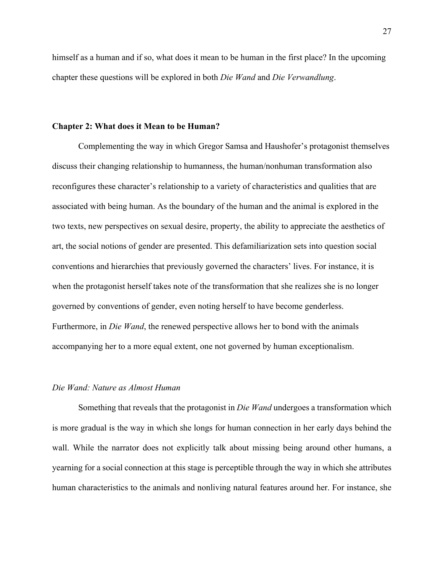himself as a human and if so, what does it mean to be human in the first place? In the upcoming chapter these questions will be explored in both *Die Wand* and *Die Verwandlung*.

#### **Chapter 2: What does it Mean to be Human?**

Complementing the way in which Gregor Samsa and Haushofer's protagonist themselves discuss their changing relationship to humanness, the human/nonhuman transformation also reconfigures these character's relationship to a variety of characteristics and qualities that are associated with being human. As the boundary of the human and the animal is explored in the two texts, new perspectives on sexual desire, property, the ability to appreciate the aesthetics of art, the social notions of gender are presented. This defamiliarization sets into question social conventions and hierarchies that previously governed the characters' lives. For instance, it is when the protagonist herself takes note of the transformation that she realizes she is no longer governed by conventions of gender, even noting herself to have become genderless. Furthermore, in *Die Wand*, the renewed perspective allows her to bond with the animals accompanying her to a more equal extent, one not governed by human exceptionalism.

#### *Die Wand: Nature as Almost Human*

Something that reveals that the protagonist in *Die Wand* undergoes a transformation which is more gradual is the way in which she longs for human connection in her early days behind the wall. While the narrator does not explicitly talk about missing being around other humans, a yearning for a social connection at this stage is perceptible through the way in which she attributes human characteristics to the animals and nonliving natural features around her. For instance, she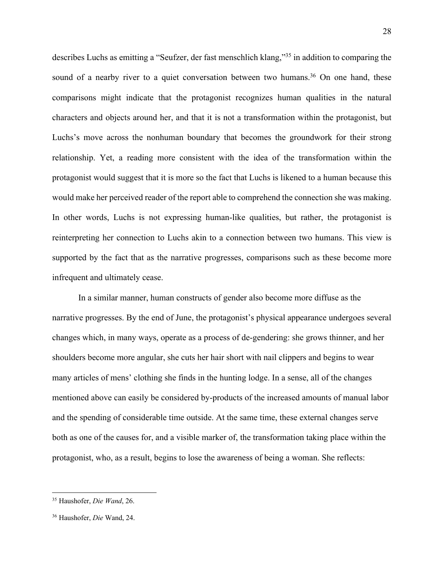describes Luchs as emitting a "Seufzer, der fast menschlich klang,"35 in addition to comparing the sound of a nearby river to a quiet conversation between two humans.<sup>36</sup> On one hand, these comparisons might indicate that the protagonist recognizes human qualities in the natural characters and objects around her, and that it is not a transformation within the protagonist, but Luchs's move across the nonhuman boundary that becomes the groundwork for their strong relationship. Yet, a reading more consistent with the idea of the transformation within the protagonist would suggest that it is more so the fact that Luchs is likened to a human because this would make her perceived reader of the report able to comprehend the connection she was making. In other words, Luchs is not expressing human-like qualities, but rather, the protagonist is reinterpreting her connection to Luchs akin to a connection between two humans. This view is supported by the fact that as the narrative progresses, comparisons such as these become more infrequent and ultimately cease.

In a similar manner, human constructs of gender also become more diffuse as the narrative progresses. By the end of June, the protagonist's physical appearance undergoes several changes which, in many ways, operate as a process of de-gendering: she grows thinner, and her shoulders become more angular, she cuts her hair short with nail clippers and begins to wear many articles of mens' clothing she finds in the hunting lodge. In a sense, all of the changes mentioned above can easily be considered by-products of the increased amounts of manual labor and the spending of considerable time outside. At the same time, these external changes serve both as one of the causes for, and a visible marker of, the transformation taking place within the protagonist, who, as a result, begins to lose the awareness of being a woman. She reflects:

<sup>35</sup> Haushofer, *Die Wand*, 26.

<sup>36</sup> Haushofer, *Die* Wand, 24.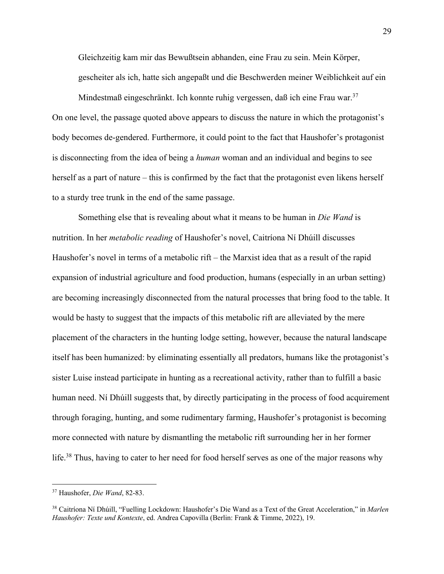Gleichzeitig kam mir das Bewußtsein abhanden, eine Frau zu sein. Mein Körper, gescheiter als ich, hatte sich angepaßt und die Beschwerden meiner Weiblichkeit auf ein

Mindestmaß eingeschränkt. Ich konnte ruhig vergessen, daß ich eine Frau war.<sup>37</sup> On one level, the passage quoted above appears to discuss the nature in which the protagonist's body becomes de-gendered. Furthermore, it could point to the fact that Haushofer's protagonist is disconnecting from the idea of being a *human* woman and an individual and begins to see herself as a part of nature – this is confirmed by the fact that the protagonist even likens herself to a sturdy tree trunk in the end of the same passage.

Something else that is revealing about what it means to be human in *Die Wand* is nutrition. In her *metabolic reading* of Haushofer's novel, Caitríona Ní Dhúill discusses Haushofer's novel in terms of a metabolic rift – the Marxist idea that as a result of the rapid expansion of industrial agriculture and food production, humans (especially in an urban setting) are becoming increasingly disconnected from the natural processes that bring food to the table. It would be hasty to suggest that the impacts of this metabolic rift are alleviated by the mere placement of the characters in the hunting lodge setting, however, because the natural landscape itself has been humanized: by eliminating essentially all predators, humans like the protagonist's sister Luise instead participate in hunting as a recreational activity, rather than to fulfill a basic human need. Ní Dhúill suggests that, by directly participating in the process of food acquirement through foraging, hunting, and some rudimentary farming, Haushofer's protagonist is becoming more connected with nature by dismantling the metabolic rift surrounding her in her former life.<sup>38</sup> Thus, having to cater to her need for food herself serves as one of the major reasons why

<sup>37</sup> Haushofer, *Die Wand*, 82-83.

<sup>38</sup> Caitríona Ní Dhúill, "Fuelling Lockdown: Haushofer's Die Wand as a Text of the Great Acceleration," in *Marlen Haushofer: Texte und Kontexte*, ed. Andrea Capovilla (Berlin: Frank & Timme, 2022), 19.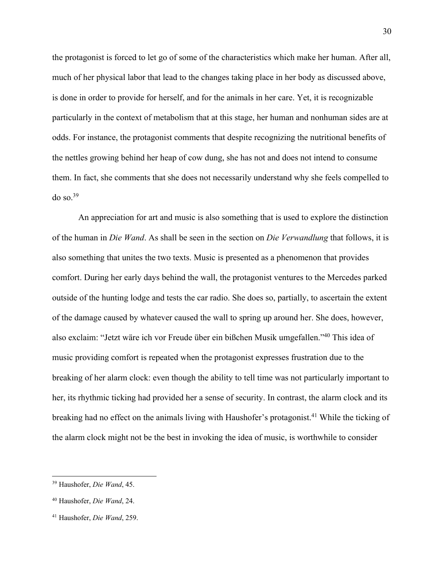the protagonist is forced to let go of some of the characteristics which make her human. After all, much of her physical labor that lead to the changes taking place in her body as discussed above, is done in order to provide for herself, and for the animals in her care. Yet, it is recognizable particularly in the context of metabolism that at this stage, her human and nonhuman sides are at odds. For instance, the protagonist comments that despite recognizing the nutritional benefits of the nettles growing behind her heap of cow dung, she has not and does not intend to consume them. In fact, she comments that she does not necessarily understand why she feels compelled to  $do$  so.  $39$ 

An appreciation for art and music is also something that is used to explore the distinction of the human in *Die Wand*. As shall be seen in the section on *Die Verwandlung* that follows, it is also something that unites the two texts. Music is presented as a phenomenon that provides comfort. During her early days behind the wall, the protagonist ventures to the Mercedes parked outside of the hunting lodge and tests the car radio. She does so, partially, to ascertain the extent of the damage caused by whatever caused the wall to spring up around her. She does, however, also exclaim: "Jetzt wäre ich vor Freude über ein bißchen Musik umgefallen."40 This idea of music providing comfort is repeated when the protagonist expresses frustration due to the breaking of her alarm clock: even though the ability to tell time was not particularly important to her, its rhythmic ticking had provided her a sense of security. In contrast, the alarm clock and its breaking had no effect on the animals living with Haushofer's protagonist.<sup>41</sup> While the ticking of the alarm clock might not be the best in invoking the idea of music, is worthwhile to consider

<sup>39</sup> Haushofer, *Die Wand*, 45.

<sup>40</sup> Haushofer, *Die Wand*, 24.

<sup>41</sup> Haushofer, *Die Wand*, 259.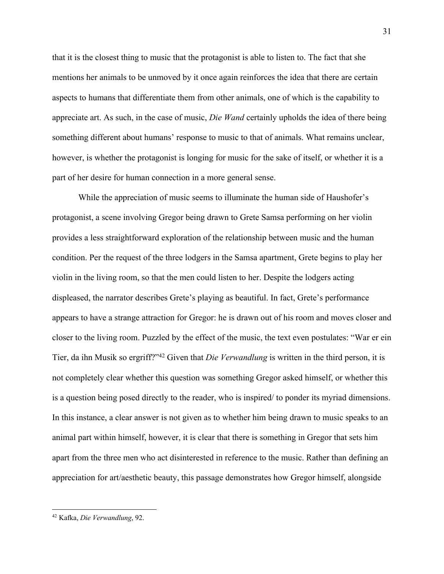that it is the closest thing to music that the protagonist is able to listen to. The fact that she mentions her animals to be unmoved by it once again reinforces the idea that there are certain aspects to humans that differentiate them from other animals, one of which is the capability to appreciate art. As such, in the case of music, *Die Wand* certainly upholds the idea of there being something different about humans' response to music to that of animals. What remains unclear, however, is whether the protagonist is longing for music for the sake of itself, or whether it is a part of her desire for human connection in a more general sense.

While the appreciation of music seems to illuminate the human side of Haushofer's protagonist, a scene involving Gregor being drawn to Grete Samsa performing on her violin provides a less straightforward exploration of the relationship between music and the human condition. Per the request of the three lodgers in the Samsa apartment, Grete begins to play her violin in the living room, so that the men could listen to her. Despite the lodgers acting displeased, the narrator describes Grete's playing as beautiful. In fact, Grete's performance appears to have a strange attraction for Gregor: he is drawn out of his room and moves closer and closer to the living room. Puzzled by the effect of the music, the text even postulates: "War er ein Tier, da ihn Musik so ergriff?"42 Given that *Die Verwandlung* is written in the third person, it is not completely clear whether this question was something Gregor asked himself, or whether this is a question being posed directly to the reader, who is inspired/ to ponder its myriad dimensions. In this instance, a clear answer is not given as to whether him being drawn to music speaks to an animal part within himself, however, it is clear that there is something in Gregor that sets him apart from the three men who act disinterested in reference to the music. Rather than defining an appreciation for art/aesthetic beauty, this passage demonstrates how Gregor himself, alongside

<sup>42</sup> Kafka, *Die Verwandlung*, 92.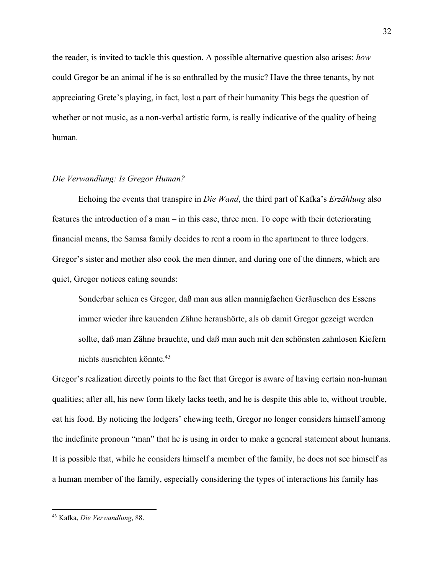the reader, is invited to tackle this question. A possible alternative question also arises: *how* could Gregor be an animal if he is so enthralled by the music? Have the three tenants, by not appreciating Grete's playing, in fact, lost a part of their humanity This begs the question of whether or not music, as a non-verbal artistic form, is really indicative of the quality of being human.

#### *Die Verwandlung: Is Gregor Human?*

Echoing the events that transpire in *Die Wand*, the third part of Kafka's *Erzählung* also features the introduction of a man – in this case, three men. To cope with their deteriorating financial means, the Samsa family decides to rent a room in the apartment to three lodgers. Gregor's sister and mother also cook the men dinner, and during one of the dinners, which are quiet, Gregor notices eating sounds:

Sonderbar schien es Gregor, daß man aus allen mannigfachen Geräuschen des Essens immer wieder ihre kauenden Zähne heraushörte, als ob damit Gregor gezeigt werden sollte, daß man Zähne brauchte, und daß man auch mit den schönsten zahnlosen Kiefern nichts ausrichten könnte.43

Gregor's realization directly points to the fact that Gregor is aware of having certain non-human qualities; after all, his new form likely lacks teeth, and he is despite this able to, without trouble, eat his food. By noticing the lodgers' chewing teeth, Gregor no longer considers himself among the indefinite pronoun "man" that he is using in order to make a general statement about humans. It is possible that, while he considers himself a member of the family, he does not see himself as a human member of the family, especially considering the types of interactions his family has

<sup>43</sup> Kafka, *Die Verwandlung*, 88.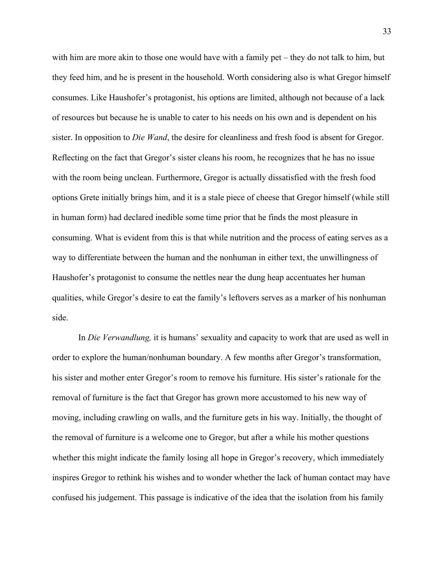with him are more akin to those one would have with a family pet – they do not talk to him, but they feed him, and he is present in the household. Worth considering also is what Gregor himself consumes. Like Haushofer's protagonist, his options are limited, although not because of a lack of resources but because he is unable to cater to his needs on his own and is dependent on his sister. In opposition to *Die Wand*, the desire for cleanliness and fresh food is absent for Gregor. Reflecting on the fact that Gregor's sister cleans his room, he recognizes that he has no issue with the room being unclean. Furthermore, Gregor is actually dissatisfied with the fresh food options Grete initially brings him, and it is a stale piece of cheese that Gregor himself (while still in human form) had declared inedible some time prior that he finds the most pleasure in consuming. What is evident from this is that while nutrition and the process of eating serves as a way to differentiate between the human and the nonhuman in either text, the unwillingness of Haushofer's protagonist to consume the nettles near the dung heap accentuates her human qualities, while Gregor's desire to eat the family's leftovers serves as a marker of his nonhuman side.

In *Die Verwandlung,* it is humans' sexuality and capacity to work that are used as well in order to explore the human/nonhuman boundary. A few months after Gregor's transformation, his sister and mother enter Gregor's room to remove his furniture. His sister's rationale for the removal of furniture is the fact that Gregor has grown more accustomed to his new way of moving, including crawling on walls, and the furniture gets in his way. Initially, the thought of the removal of furniture is a welcome one to Gregor, but after a while his mother questions whether this might indicate the family losing all hope in Gregor's recovery, which immediately inspires Gregor to rethink his wishes and to wonder whether the lack of human contact may have confused his judgement. This passage is indicative of the idea that the isolation from his family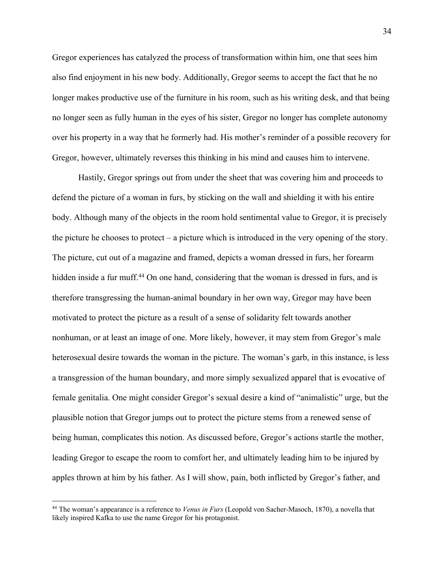Gregor experiences has catalyzed the process of transformation within him, one that sees him also find enjoyment in his new body. Additionally, Gregor seems to accept the fact that he no longer makes productive use of the furniture in his room, such as his writing desk, and that being no longer seen as fully human in the eyes of his sister, Gregor no longer has complete autonomy over his property in a way that he formerly had. His mother's reminder of a possible recovery for Gregor, however, ultimately reverses this thinking in his mind and causes him to intervene.

Hastily, Gregor springs out from under the sheet that was covering him and proceeds to defend the picture of a woman in furs, by sticking on the wall and shielding it with his entire body. Although many of the objects in the room hold sentimental value to Gregor, it is precisely the picture he chooses to protect – a picture which is introduced in the very opening of the story. The picture, cut out of a magazine and framed, depicts a woman dressed in furs, her forearm hidden inside a fur muff.<sup>44</sup> On one hand, considering that the woman is dressed in furs, and is therefore transgressing the human-animal boundary in her own way, Gregor may have been motivated to protect the picture as a result of a sense of solidarity felt towards another nonhuman, or at least an image of one. More likely, however, it may stem from Gregor's male heterosexual desire towards the woman in the picture. The woman's garb, in this instance, is less a transgression of the human boundary, and more simply sexualized apparel that is evocative of female genitalia. One might consider Gregor's sexual desire a kind of "animalistic" urge, but the plausible notion that Gregor jumps out to protect the picture stems from a renewed sense of being human, complicates this notion. As discussed before, Gregor's actions startle the mother, leading Gregor to escape the room to comfort her, and ultimately leading him to be injured by apples thrown at him by his father. As I will show, pain, both inflicted by Gregor's father, and

<sup>44</sup> The woman's appearance is a reference to *Venus in Furs* (Leopold von Sacher-Masoch, 1870), a novella that likely inspired Kafka to use the name Gregor for his protagonist.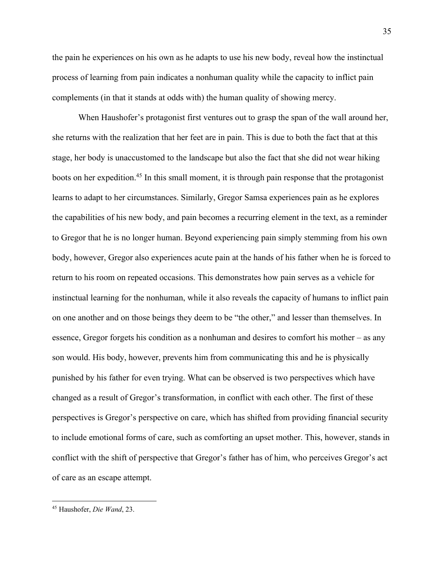the pain he experiences on his own as he adapts to use his new body, reveal how the instinctual process of learning from pain indicates a nonhuman quality while the capacity to inflict pain complements (in that it stands at odds with) the human quality of showing mercy.

When Haushofer's protagonist first ventures out to grasp the span of the wall around her, she returns with the realization that her feet are in pain. This is due to both the fact that at this stage, her body is unaccustomed to the landscape but also the fact that she did not wear hiking boots on her expedition.<sup>45</sup> In this small moment, it is through pain response that the protagonist learns to adapt to her circumstances. Similarly, Gregor Samsa experiences pain as he explores the capabilities of his new body, and pain becomes a recurring element in the text, as a reminder to Gregor that he is no longer human. Beyond experiencing pain simply stemming from his own body, however, Gregor also experiences acute pain at the hands of his father when he is forced to return to his room on repeated occasions. This demonstrates how pain serves as a vehicle for instinctual learning for the nonhuman, while it also reveals the capacity of humans to inflict pain on one another and on those beings they deem to be "the other," and lesser than themselves. In essence, Gregor forgets his condition as a nonhuman and desires to comfort his mother – as any son would. His body, however, prevents him from communicating this and he is physically punished by his father for even trying. What can be observed is two perspectives which have changed as a result of Gregor's transformation, in conflict with each other. The first of these perspectives is Gregor's perspective on care, which has shifted from providing financial security to include emotional forms of care, such as comforting an upset mother. This, however, stands in conflict with the shift of perspective that Gregor's father has of him, who perceives Gregor's act of care as an escape attempt.

<sup>45</sup> Haushofer, *Die Wand*, 23.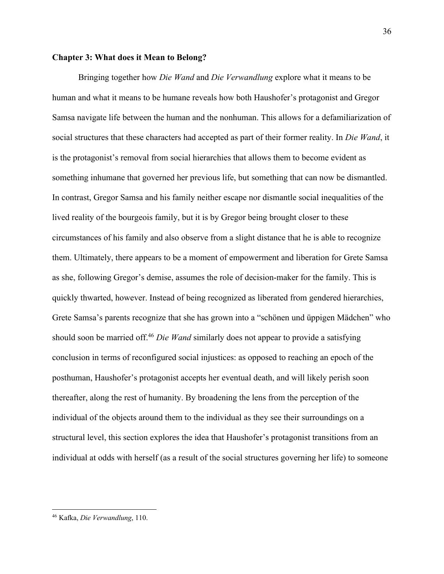#### **Chapter 3: What does it Mean to Belong?**

Bringing together how *Die Wand* and *Die Verwandlung* explore what it means to be human and what it means to be humane reveals how both Haushofer's protagonist and Gregor Samsa navigate life between the human and the nonhuman. This allows for a defamiliarization of social structures that these characters had accepted as part of their former reality. In *Die Wand*, it is the protagonist's removal from social hierarchies that allows them to become evident as something inhumane that governed her previous life, but something that can now be dismantled. In contrast, Gregor Samsa and his family neither escape nor dismantle social inequalities of the lived reality of the bourgeois family, but it is by Gregor being brought closer to these circumstances of his family and also observe from a slight distance that he is able to recognize them. Ultimately, there appears to be a moment of empowerment and liberation for Grete Samsa as she, following Gregor's demise, assumes the role of decision-maker for the family. This is quickly thwarted, however. Instead of being recognized as liberated from gendered hierarchies, Grete Samsa's parents recognize that she has grown into a "schönen und üppigen Mädchen" who should soon be married off.46 *Die Wand* similarly does not appear to provide a satisfying conclusion in terms of reconfigured social injustices: as opposed to reaching an epoch of the posthuman, Haushofer's protagonist accepts her eventual death, and will likely perish soon thereafter, along the rest of humanity. By broadening the lens from the perception of the individual of the objects around them to the individual as they see their surroundings on a structural level, this section explores the idea that Haushofer's protagonist transitions from an individual at odds with herself (as a result of the social structures governing her life) to someone

<sup>36</sup>

<sup>46</sup> Kafka, *Die Verwandlung*, 110.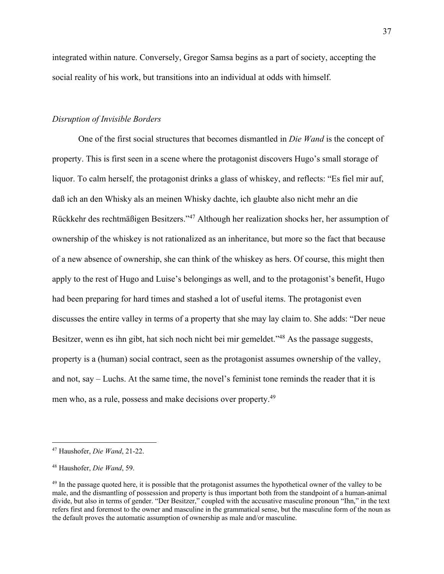integrated within nature. Conversely, Gregor Samsa begins as a part of society, accepting the social reality of his work, but transitions into an individual at odds with himself.

#### *Disruption of Invisible Borders*

One of the first social structures that becomes dismantled in *Die Wand* is the concept of property. This is first seen in a scene where the protagonist discovers Hugo's small storage of liquor. To calm herself, the protagonist drinks a glass of whiskey, and reflects: "Es fiel mir auf, daß ich an den Whisky als an meinen Whisky dachte, ich glaubte also nicht mehr an die Rückkehr des rechtmäßigen Besitzers."47 Although her realization shocks her, her assumption of ownership of the whiskey is not rationalized as an inheritance, but more so the fact that because of a new absence of ownership, she can think of the whiskey as hers. Of course, this might then apply to the rest of Hugo and Luise's belongings as well, and to the protagonist's benefit, Hugo had been preparing for hard times and stashed a lot of useful items. The protagonist even discusses the entire valley in terms of a property that she may lay claim to. She adds: "Der neue Besitzer, wenn es ihn gibt, hat sich noch nicht bei mir gemeldet."<sup>48</sup> As the passage suggests, property is a (human) social contract, seen as the protagonist assumes ownership of the valley, and not, say – Luchs. At the same time, the novel's feminist tone reminds the reader that it is men who, as a rule, possess and make decisions over property.49

<sup>47</sup> Haushofer, *Die Wand*, 21-22.

<sup>48</sup> Haushofer, *Die Wand*, 59.

<sup>&</sup>lt;sup>49</sup> In the passage quoted here, it is possible that the protagonist assumes the hypothetical owner of the valley to be male, and the dismantling of possession and property is thus important both from the standpoint of a human-animal divide, but also in terms of gender. "Der Besitzer," coupled with the accusative masculine pronoun "Ihn," in the text refers first and foremost to the owner and masculine in the grammatical sense, but the masculine form of the noun as the default proves the automatic assumption of ownership as male and/or masculine.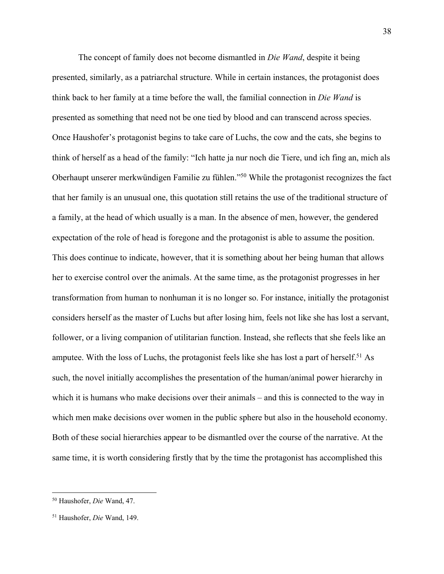The concept of family does not become dismantled in *Die Wand*, despite it being presented, similarly, as a patriarchal structure. While in certain instances, the protagonist does think back to her family at a time before the wall, the familial connection in *Die Wand* is presented as something that need not be one tied by blood and can transcend across species. Once Haushofer's protagonist begins to take care of Luchs, the cow and the cats, she begins to think of herself as a head of the family: "Ich hatte ja nur noch die Tiere, und ich fing an, mich als Oberhaupt unserer merkwündigen Familie zu fühlen."50 While the protagonist recognizes the fact that her family is an unusual one, this quotation still retains the use of the traditional structure of a family, at the head of which usually is a man. In the absence of men, however, the gendered expectation of the role of head is foregone and the protagonist is able to assume the position. This does continue to indicate, however, that it is something about her being human that allows her to exercise control over the animals. At the same time, as the protagonist progresses in her transformation from human to nonhuman it is no longer so. For instance, initially the protagonist considers herself as the master of Luchs but after losing him, feels not like she has lost a servant, follower, or a living companion of utilitarian function. Instead, she reflects that she feels like an amputee. With the loss of Luchs, the protagonist feels like she has lost a part of herself.<sup>51</sup> As such, the novel initially accomplishes the presentation of the human/animal power hierarchy in which it is humans who make decisions over their animals – and this is connected to the way in which men make decisions over women in the public sphere but also in the household economy. Both of these social hierarchies appear to be dismantled over the course of the narrative. At the same time, it is worth considering firstly that by the time the protagonist has accomplished this

<sup>50</sup> Haushofer, *Die* Wand, 47.

<sup>51</sup> Haushofer, *Die* Wand, 149.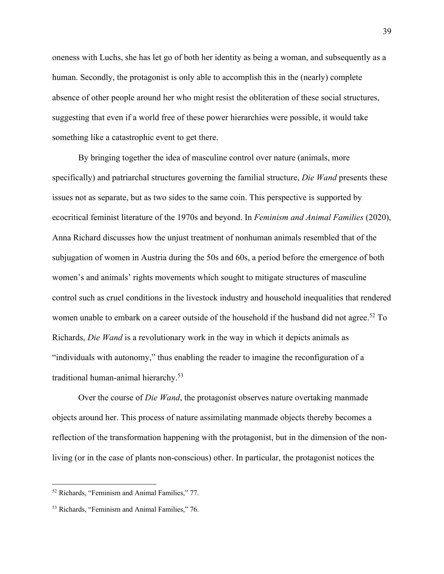oneness with Luchs, she has let go of both her identity as being a woman, and subsequently as a human. Secondly, the protagonist is only able to accomplish this in the (nearly) complete absence of other people around her who might resist the obliteration of these social structures, suggesting that even if a world free of these power hierarchies were possible, it would take something like a catastrophic event to get there.

By bringing together the idea of masculine control over nature (animals, more specifically) and patriarchal structures governing the familial structure, *Die Wand* presents these issues not as separate, but as two sides to the same coin. This perspective is supported by ecocritical feminist literature of the 1970s and beyond. In *Feminism and Animal Families* (2020), Anna Richard discusses how the unjust treatment of nonhuman animals resembled that of the subjugation of women in Austria during the 50s and 60s, a period before the emergence of both women's and animals' rights movements which sought to mitigate structures of masculine control such as cruel conditions in the livestock industry and household inequalities that rendered women unable to embark on a career outside of the household if the husband did not agree.<sup>52</sup> To Richards, *Die Wand* is a revolutionary work in the way in which it depicts animals as "individuals with autonomy," thus enabling the reader to imagine the reconfiguration of a traditional human-animal hierarchy.53

Over the course of *Die Wand*, the protagonist observes nature overtaking manmade objects around her. This process of nature assimilating manmade objects thereby becomes a reflection of the transformation happening with the protagonist, but in the dimension of the nonliving (or in the case of plants non-conscious) other. In particular, the protagonist notices the

<sup>52</sup> Richards, "Feminism and Animal Families," 77.

<sup>53</sup> Richards, "Feminism and Animal Families," 76.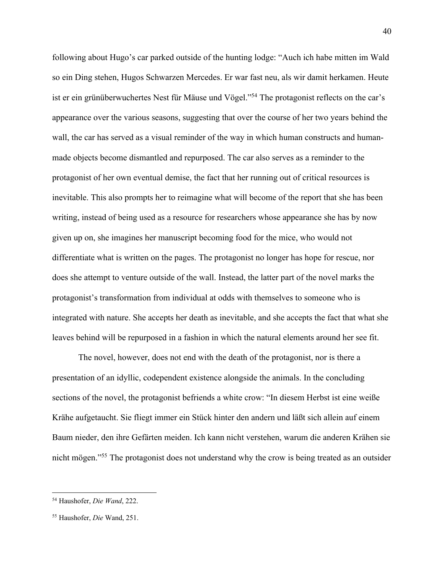following about Hugo's car parked outside of the hunting lodge: "Auch ich habe mitten im Wald so ein Ding stehen, Hugos Schwarzen Mercedes. Er war fast neu, als wir damit herkamen. Heute ist er ein grünüberwuchertes Nest für Mäuse und Vögel."<sup>54</sup> The protagonist reflects on the car's appearance over the various seasons, suggesting that over the course of her two years behind the wall, the car has served as a visual reminder of the way in which human constructs and humanmade objects become dismantled and repurposed. The car also serves as a reminder to the protagonist of her own eventual demise, the fact that her running out of critical resources is inevitable. This also prompts her to reimagine what will become of the report that she has been writing, instead of being used as a resource for researchers whose appearance she has by now given up on, she imagines her manuscript becoming food for the mice, who would not differentiate what is written on the pages. The protagonist no longer has hope for rescue, nor does she attempt to venture outside of the wall. Instead, the latter part of the novel marks the protagonist's transformation from individual at odds with themselves to someone who is integrated with nature. She accepts her death as inevitable, and she accepts the fact that what she leaves behind will be repurposed in a fashion in which the natural elements around her see fit.

The novel, however, does not end with the death of the protagonist, nor is there a presentation of an idyllic, codependent existence alongside the animals. In the concluding sections of the novel, the protagonist befriends a white crow: "In diesem Herbst ist eine weiße Krähe aufgetaucht. Sie fliegt immer ein Stück hinter den andern und läßt sich allein auf einem Baum nieder, den ihre Gefärten meiden. Ich kann nicht verstehen, warum die anderen Krähen sie nicht mögen."55 The protagonist does not understand why the crow is being treated as an outsider

<sup>54</sup> Haushofer, *Die Wand*, 222.

<sup>55</sup> Haushofer, *Die* Wand, 251.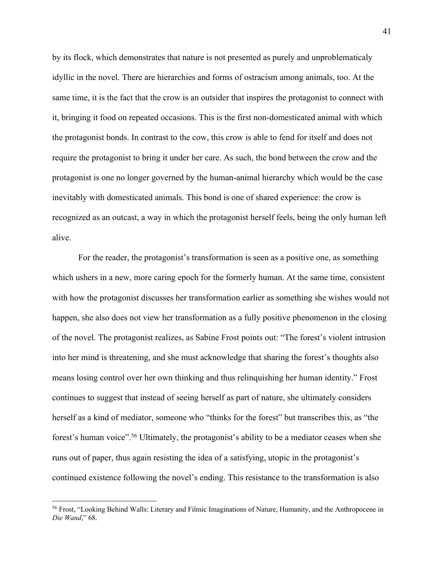by its flock, which demonstrates that nature is not presented as purely and unproblematicaly idyllic in the novel. There are hierarchies and forms of ostracism among animals, too. At the same time, it is the fact that the crow is an outsider that inspires the protagonist to connect with it, bringing it food on repeated occasions. This is the first non-domesticated animal with which the protagonist bonds. In contrast to the cow, this crow is able to fend for itself and does not require the protagonist to bring it under her care. As such, the bond between the crow and the protagonist is one no longer governed by the human-animal hierarchy which would be the case inevitably with domesticated animals. This bond is one of shared experience: the crow is recognized as an outcast, a way in which the protagonist herself feels, being the only human left alive.

For the reader, the protagonist's transformation is seen as a positive one, as something which ushers in a new, more caring epoch for the formerly human. At the same time, consistent with how the protagonist discusses her transformation earlier as something she wishes would not happen, she also does not view her transformation as a fully positive phenomenon in the closing of the novel. The protagonist realizes, as Sabine Frost points out: "The forest's violent intrusion into her mind is threatening, and she must acknowledge that sharing the forest's thoughts also means losing control over her own thinking and thus relinquishing her human identity." Frost continues to suggest that instead of seeing herself as part of nature, she ultimately considers herself as a kind of mediator, someone who "thinks for the forest" but transcribes this, as "the forest's human voice".56 Ultimately, the protagonist's ability to be a mediator ceases when she runs out of paper, thus again resisting the idea of a satisfying, utopic in the protagonist's continued existence following the novel's ending. This resistance to the transformation is also

<sup>&</sup>lt;sup>56</sup> Frost, "Looking Behind Walls: Literary and Filmic Imaginations of Nature, Humanity, and the Anthropocene in *Die Wand*," 68.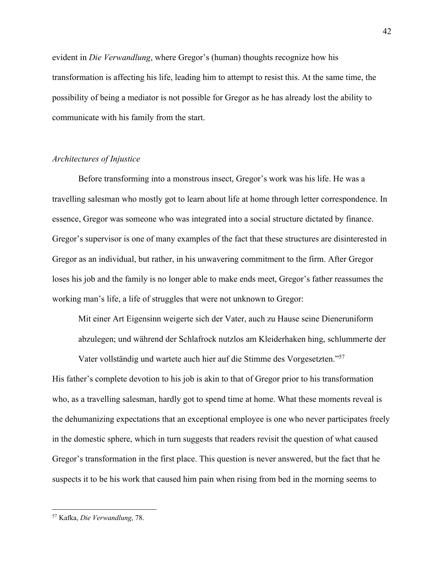evident in *Die Verwandlung*, where Gregor's (human) thoughts recognize how his transformation is affecting his life, leading him to attempt to resist this. At the same time, the possibility of being a mediator is not possible for Gregor as he has already lost the ability to communicate with his family from the start.

#### *Architectures of Injustice*

Before transforming into a monstrous insect, Gregor's work was his life. He was a travelling salesman who mostly got to learn about life at home through letter correspondence. In essence, Gregor was someone who was integrated into a social structure dictated by finance. Gregor's supervisor is one of many examples of the fact that these structures are disinterested in Gregor as an individual, but rather, in his unwavering commitment to the firm. After Gregor loses his job and the family is no longer able to make ends meet, Gregor's father reassumes the working man's life, a life of struggles that were not unknown to Gregor:

Mit einer Art Eigensinn weigerte sich der Vater, auch zu Hause seine Dieneruniform abzulegen; und während der Schlafrock nutzlos am Kleiderhaken hing, schlummerte der

Vater vollständig und wartete auch hier auf die Stimme des Vorgesetzten."57 His father's complete devotion to his job is akin to that of Gregor prior to his transformation who, as a travelling salesman, hardly got to spend time at home. What these moments reveal is the dehumanizing expectations that an exceptional employee is one who never participates freely in the domestic sphere, which in turn suggests that readers revisit the question of what caused Gregor's transformation in the first place. This question is never answered, but the fact that he suspects it to be his work that caused him pain when rising from bed in the morning seems to

<sup>57</sup> Kafka, *Die Verwandlung*, 78.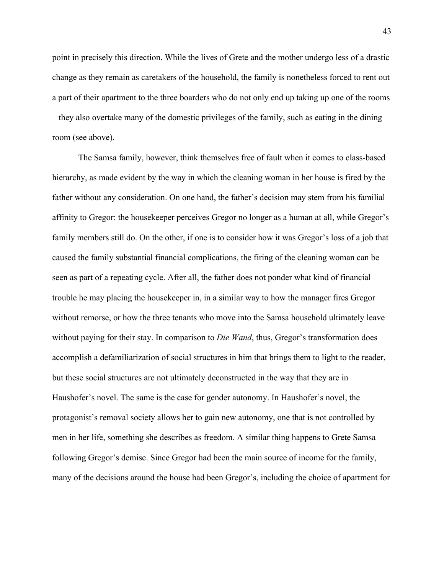point in precisely this direction. While the lives of Grete and the mother undergo less of a drastic change as they remain as caretakers of the household, the family is nonetheless forced to rent out a part of their apartment to the three boarders who do not only end up taking up one of the rooms – they also overtake many of the domestic privileges of the family, such as eating in the dining room (see above).

The Samsa family, however, think themselves free of fault when it comes to class-based hierarchy, as made evident by the way in which the cleaning woman in her house is fired by the father without any consideration. On one hand, the father's decision may stem from his familial affinity to Gregor: the housekeeper perceives Gregor no longer as a human at all, while Gregor's family members still do. On the other, if one is to consider how it was Gregor's loss of a job that caused the family substantial financial complications, the firing of the cleaning woman can be seen as part of a repeating cycle. After all, the father does not ponder what kind of financial trouble he may placing the housekeeper in, in a similar way to how the manager fires Gregor without remorse, or how the three tenants who move into the Samsa household ultimately leave without paying for their stay. In comparison to *Die Wand*, thus, Gregor's transformation does accomplish a defamiliarization of social structures in him that brings them to light to the reader, but these social structures are not ultimately deconstructed in the way that they are in Haushofer's novel. The same is the case for gender autonomy. In Haushofer's novel, the protagonist's removal society allows her to gain new autonomy, one that is not controlled by men in her life, something she describes as freedom. A similar thing happens to Grete Samsa following Gregor's demise. Since Gregor had been the main source of income for the family, many of the decisions around the house had been Gregor's, including the choice of apartment for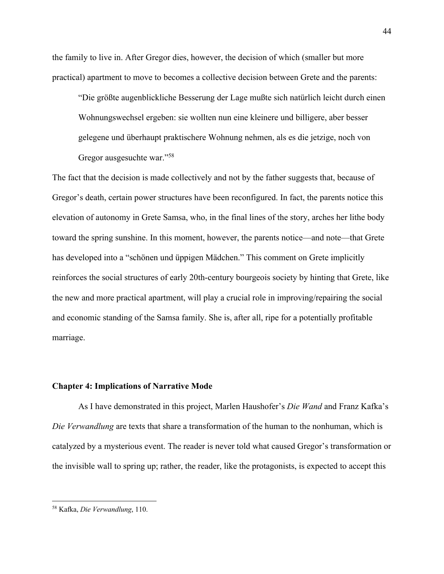the family to live in. After Gregor dies, however, the decision of which (smaller but more practical) apartment to move to becomes a collective decision between Grete and the parents:

"Die größte augenblickliche Besserung der Lage mußte sich natürlich leicht durch einen Wohnungswechsel ergeben: sie wollten nun eine kleinere und billigere, aber besser gelegene und überhaupt praktischere Wohnung nehmen, als es die jetzige, noch von Gregor ausgesuchte war."58

The fact that the decision is made collectively and not by the father suggests that, because of Gregor's death, certain power structures have been reconfigured. In fact, the parents notice this elevation of autonomy in Grete Samsa, who, in the final lines of the story, arches her lithe body toward the spring sunshine. In this moment, however, the parents notice—and note—that Grete has developed into a "schönen und üppigen Mädchen." This comment on Grete implicitly reinforces the social structures of early 20th-century bourgeois society by hinting that Grete, like the new and more practical apartment, will play a crucial role in improving/repairing the social and economic standing of the Samsa family. She is, after all, ripe for a potentially profitable marriage.

#### **Chapter 4: Implications of Narrative Mode**

As I have demonstrated in this project, Marlen Haushofer's *Die Wand* and Franz Kafka's *Die Verwandlung* are texts that share a transformation of the human to the nonhuman, which is catalyzed by a mysterious event. The reader is never told what caused Gregor's transformation or the invisible wall to spring up; rather, the reader, like the protagonists, is expected to accept this

<sup>58</sup> Kafka, *Die Verwandlung*, 110.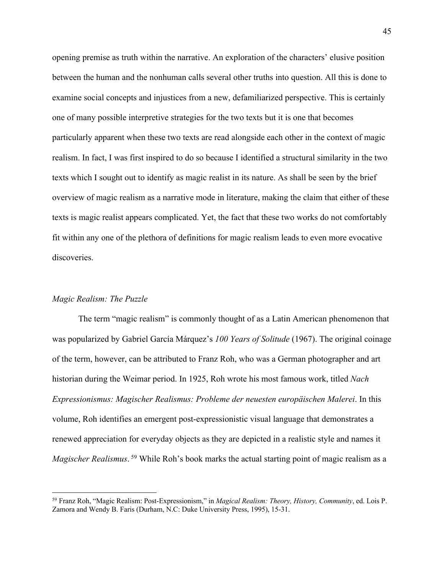opening premise as truth within the narrative. An exploration of the characters' elusive position between the human and the nonhuman calls several other truths into question. All this is done to examine social concepts and injustices from a new, defamiliarized perspective. This is certainly one of many possible interpretive strategies for the two texts but it is one that becomes particularly apparent when these two texts are read alongside each other in the context of magic realism. In fact, I was first inspired to do so because I identified a structural similarity in the two texts which I sought out to identify as magic realist in its nature. As shall be seen by the brief overview of magic realism as a narrative mode in literature, making the claim that either of these texts is magic realist appears complicated. Yet, the fact that these two works do not comfortably fit within any one of the plethora of definitions for magic realism leads to even more evocative discoveries.

#### *Magic Realism: The Puzzle*

The term "magic realism" is commonly thought of as a Latin American phenomenon that was popularized by Gabriel García Márquez's *100 Years of Solitude* (1967). The original coinage of the term, however, can be attributed to Franz Roh, who was a German photographer and art historian during the Weimar period. In 1925, Roh wrote his most famous work, titled *Nach Expressionismus: Magischer Realismus: Probleme der neuesten europäischen Malerei*. In this volume, Roh identifies an emergent post-expressionistic visual language that demonstrates a renewed appreciation for everyday objects as they are depicted in a realistic style and names it *Magischer Realismus*.<sup>59</sup> While Roh's book marks the actual starting point of magic realism as a

<sup>59</sup> Franz Roh, "Magic Realism: Post-Expressionism," in *Magical Realism: Theory, History, Community*, ed. Lois P. Zamora and Wendy B. Faris (Durham, N.C: Duke University Press, 1995), 15-31.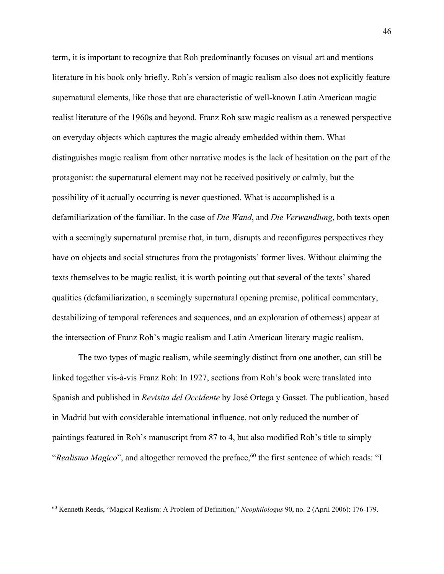term, it is important to recognize that Roh predominantly focuses on visual art and mentions literature in his book only briefly. Roh's version of magic realism also does not explicitly feature supernatural elements, like those that are characteristic of well-known Latin American magic realist literature of the 1960s and beyond. Franz Roh saw magic realism as a renewed perspective on everyday objects which captures the magic already embedded within them. What distinguishes magic realism from other narrative modes is the lack of hesitation on the part of the protagonist: the supernatural element may not be received positively or calmly, but the possibility of it actually occurring is never questioned. What is accomplished is a defamiliarization of the familiar. In the case of *Die Wand*, and *Die Verwandlung*, both texts open with a seemingly supernatural premise that, in turn, disrupts and reconfigures perspectives they have on objects and social structures from the protagonists' former lives. Without claiming the texts themselves to be magic realist, it is worth pointing out that several of the texts' shared qualities (defamiliarization, a seemingly supernatural opening premise, political commentary, destabilizing of temporal references and sequences, and an exploration of otherness) appear at the intersection of Franz Roh's magic realism and Latin American literary magic realism.

The two types of magic realism, while seemingly distinct from one another, can still be linked together vis-à-vis Franz Roh: In 1927, sections from Roh's book were translated into Spanish and published in *Revisita del Occidente* by José Ortega y Gasset. The publication, based in Madrid but with considerable international influence, not only reduced the number of paintings featured in Roh's manuscript from 87 to 4, but also modified Roh's title to simply "*Realismo Magico*", and altogether removed the preface,<sup>60</sup> the first sentence of which reads: "I

<sup>60</sup> Kenneth Reeds, "Magical Realism: A Problem of Definition," *Neophilologus* 90, no. 2 (April 2006): 176-179.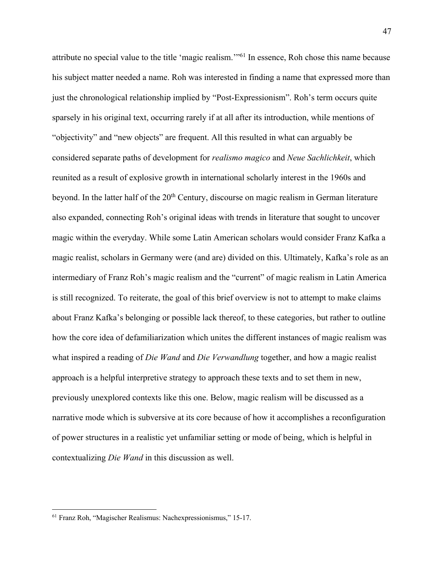attribute no special value to the title 'magic realism.'"61 In essence, Roh chose this name because his subject matter needed a name. Roh was interested in finding a name that expressed more than just the chronological relationship implied by "Post-Expressionism". Roh's term occurs quite sparsely in his original text, occurring rarely if at all after its introduction, while mentions of "objectivity" and "new objects" are frequent. All this resulted in what can arguably be considered separate paths of development for *realismo magico* and *Neue Sachlichkeit*, which reunited as a result of explosive growth in international scholarly interest in the 1960s and beyond. In the latter half of the 20<sup>th</sup> Century, discourse on magic realism in German literature also expanded, connecting Roh's original ideas with trends in literature that sought to uncover magic within the everyday. While some Latin American scholars would consider Franz Kafka a magic realist, scholars in Germany were (and are) divided on this. Ultimately, Kafka's role as an intermediary of Franz Roh's magic realism and the "current" of magic realism in Latin America is still recognized. To reiterate, the goal of this brief overview is not to attempt to make claims about Franz Kafka's belonging or possible lack thereof, to these categories, but rather to outline how the core idea of defamiliarization which unites the different instances of magic realism was what inspired a reading of *Die Wand* and *Die Verwandlung* together, and how a magic realist approach is a helpful interpretive strategy to approach these texts and to set them in new, previously unexplored contexts like this one. Below, magic realism will be discussed as a narrative mode which is subversive at its core because of how it accomplishes a reconfiguration of power structures in a realistic yet unfamiliar setting or mode of being, which is helpful in contextualizing *Die Wand* in this discussion as well.

<sup>61</sup> Franz Roh, "Magischer Realismus: Nachexpressionismus," 15-17.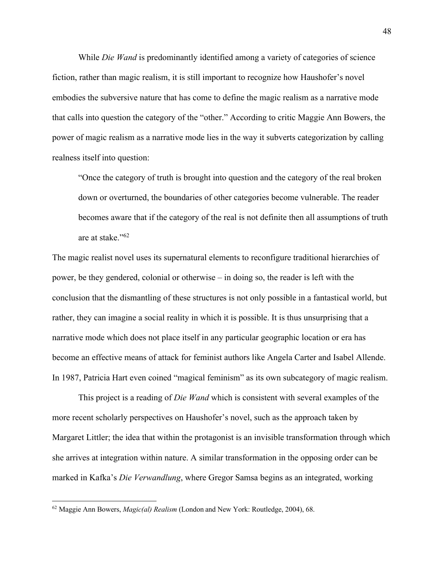While *Die Wand* is predominantly identified among a variety of categories of science fiction, rather than magic realism, it is still important to recognize how Haushofer's novel embodies the subversive nature that has come to define the magic realism as a narrative mode that calls into question the category of the "other." According to critic Maggie Ann Bowers, the power of magic realism as a narrative mode lies in the way it subverts categorization by calling realness itself into question:

"Once the category of truth is brought into question and the category of the real broken down or overturned, the boundaries of other categories become vulnerable. The reader becomes aware that if the category of the real is not definite then all assumptions of truth are at stake."62

The magic realist novel uses its supernatural elements to reconfigure traditional hierarchies of power, be they gendered, colonial or otherwise – in doing so, the reader is left with the conclusion that the dismantling of these structures is not only possible in a fantastical world, but rather, they can imagine a social reality in which it is possible. It is thus unsurprising that a narrative mode which does not place itself in any particular geographic location or era has become an effective means of attack for feminist authors like Angela Carter and Isabel Allende. In 1987, Patricia Hart even coined "magical feminism" as its own subcategory of magic realism.

This project is a reading of *Die Wand* which is consistent with several examples of the more recent scholarly perspectives on Haushofer's novel, such as the approach taken by Margaret Littler; the idea that within the protagonist is an invisible transformation through which she arrives at integration within nature. A similar transformation in the opposing order can be marked in Kafka's *Die Verwandlung*, where Gregor Samsa begins as an integrated, working

<sup>62</sup> Maggie Ann Bowers, *Magic(al) Realism* (London and New York: Routledge, 2004), 68.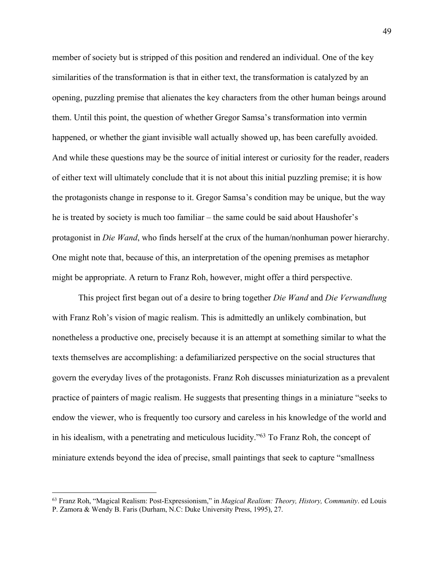member of society but is stripped of this position and rendered an individual. One of the key similarities of the transformation is that in either text, the transformation is catalyzed by an opening, puzzling premise that alienates the key characters from the other human beings around them. Until this point, the question of whether Gregor Samsa's transformation into vermin happened, or whether the giant invisible wall actually showed up, has been carefully avoided. And while these questions may be the source of initial interest or curiosity for the reader, readers of either text will ultimately conclude that it is not about this initial puzzling premise; it is how the protagonists change in response to it. Gregor Samsa's condition may be unique, but the way he is treated by society is much too familiar – the same could be said about Haushofer's protagonist in *Die Wand*, who finds herself at the crux of the human/nonhuman power hierarchy. One might note that, because of this, an interpretation of the opening premises as metaphor might be appropriate. A return to Franz Roh, however, might offer a third perspective.

This project first began out of a desire to bring together *Die Wand* and *Die Verwandlung*  with Franz Roh's vision of magic realism. This is admittedly an unlikely combination, but nonetheless a productive one, precisely because it is an attempt at something similar to what the texts themselves are accomplishing: a defamiliarized perspective on the social structures that govern the everyday lives of the protagonists. Franz Roh discusses miniaturization as a prevalent practice of painters of magic realism. He suggests that presenting things in a miniature "seeks to endow the viewer, who is frequently too cursory and careless in his knowledge of the world and in his idealism, with a penetrating and meticulous lucidity."63 To Franz Roh, the concept of miniature extends beyond the idea of precise, small paintings that seek to capture "smallness

<sup>63</sup> Franz Roh, "Magical Realism: Post-Expressionism," in *Magical Realism: Theory, History, Community*. ed Louis P. Zamora & Wendy B. Faris (Durham, N.C: Duke University Press, 1995), 27.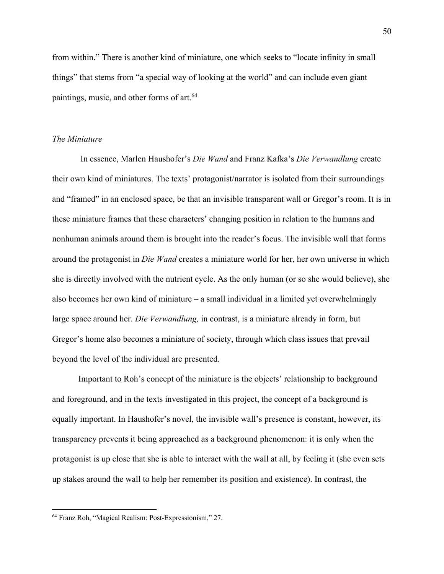from within." There is another kind of miniature, one which seeks to "locate infinity in small things" that stems from "a special way of looking at the world" and can include even giant paintings, music, and other forms of art.<sup>64</sup>

#### *The Miniature*

In essence, Marlen Haushofer's *Die Wand* and Franz Kafka's *Die Verwandlung* create their own kind of miniatures. The texts' protagonist/narrator is isolated from their surroundings and "framed" in an enclosed space, be that an invisible transparent wall or Gregor's room. It is in these miniature frames that these characters' changing position in relation to the humans and nonhuman animals around them is brought into the reader's focus. The invisible wall that forms around the protagonist in *Die Wand* creates a miniature world for her, her own universe in which she is directly involved with the nutrient cycle. As the only human (or so she would believe), she also becomes her own kind of miniature – a small individual in a limited yet overwhelmingly large space around her. *Die Verwandlung,* in contrast, is a miniature already in form, but Gregor's home also becomes a miniature of society, through which class issues that prevail beyond the level of the individual are presented.

Important to Roh's concept of the miniature is the objects' relationship to background and foreground, and in the texts investigated in this project, the concept of a background is equally important. In Haushofer's novel, the invisible wall's presence is constant, however, its transparency prevents it being approached as a background phenomenon: it is only when the protagonist is up close that she is able to interact with the wall at all, by feeling it (she even sets up stakes around the wall to help her remember its position and existence). In contrast, the

<sup>64</sup> Franz Roh, "Magical Realism: Post-Expressionism," 27.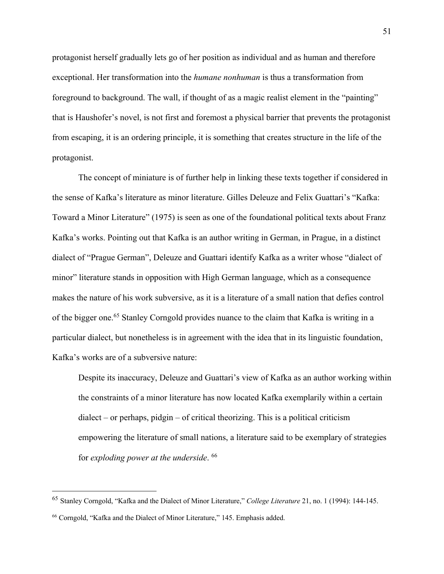protagonist herself gradually lets go of her position as individual and as human and therefore exceptional. Her transformation into the *humane nonhuman* is thus a transformation from foreground to background. The wall, if thought of as a magic realist element in the "painting" that is Haushofer's novel, is not first and foremost a physical barrier that prevents the protagonist from escaping, it is an ordering principle, it is something that creates structure in the life of the protagonist.

The concept of miniature is of further help in linking these texts together if considered in the sense of Kafka's literature as minor literature. Gilles Deleuze and Felix Guattari's "Kafka: Toward a Minor Literature" (1975) is seen as one of the foundational political texts about Franz Kafka's works. Pointing out that Kafka is an author writing in German, in Prague, in a distinct dialect of "Prague German", Deleuze and Guattari identify Kafka as a writer whose "dialect of minor" literature stands in opposition with High German language, which as a consequence makes the nature of his work subversive, as it is a literature of a small nation that defies control of the bigger one.<sup>65</sup> Stanley Corngold provides nuance to the claim that Kafka is writing in a particular dialect, but nonetheless is in agreement with the idea that in its linguistic foundation, Kafka's works are of a subversive nature:

Despite its inaccuracy, Deleuze and Guattari's view of Kafka as an author working within the constraints of a minor literature has now located Kafka exemplarily within a certain dialect – or perhaps, pidgin – of critical theorizing. This is a political criticism empowering the literature of small nations, a literature said to be exemplary of strategies for *exploding power at the underside*. 66

<sup>65</sup> Stanley Corngold, "Kafka and the Dialect of Minor Literature," *College Literature* 21, no. 1 (1994): 144-145.

<sup>66</sup> Corngold, "Kafka and the Dialect of Minor Literature," 145. Emphasis added.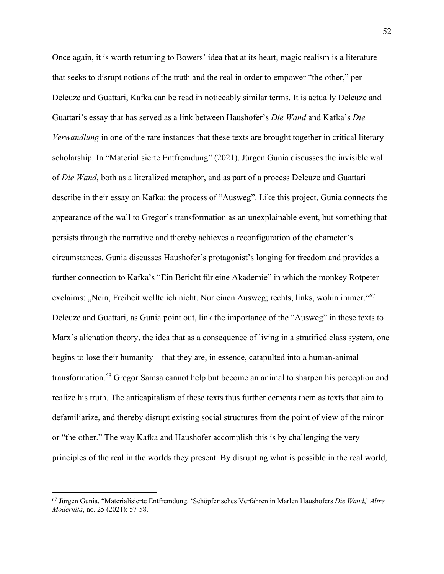Once again, it is worth returning to Bowers' idea that at its heart, magic realism is a literature that seeks to disrupt notions of the truth and the real in order to empower "the other," per Deleuze and Guattari, Kafka can be read in noticeably similar terms. It is actually Deleuze and Guattari's essay that has served as a link between Haushofer's *Die Wand* and Kafka's *Die Verwandlung* in one of the rare instances that these texts are brought together in critical literary scholarship. In "Materialisierte Entfremdung" (2021), Jürgen Gunia discusses the invisible wall of *Die Wand*, both as a literalized metaphor, and as part of a process Deleuze and Guattari describe in their essay on Kafka: the process of "Ausweg". Like this project, Gunia connects the appearance of the wall to Gregor's transformation as an unexplainable event, but something that persists through the narrative and thereby achieves a reconfiguration of the character's circumstances. Gunia discusses Haushofer's protagonist's longing for freedom and provides a further connection to Kafka's "Ein Bericht für eine Akademie" in which the monkey Rotpeter exclaims: "Nein, Freiheit wollte ich nicht. Nur einen Ausweg; rechts, links, wohin immer."<sup>67</sup> Deleuze and Guattari, as Gunia point out, link the importance of the "Ausweg" in these texts to Marx's alienation theory, the idea that as a consequence of living in a stratified class system, one begins to lose their humanity – that they are, in essence, catapulted into a human-animal transformation.68 Gregor Samsa cannot help but become an animal to sharpen his perception and realize his truth. The anticapitalism of these texts thus further cements them as texts that aim to defamiliarize, and thereby disrupt existing social structures from the point of view of the minor or "the other." The way Kafka and Haushofer accomplish this is by challenging the very principles of the real in the worlds they present. By disrupting what is possible in the real world,

<sup>67</sup> Jürgen Gunia, "Materialisierte Entfremdung. 'Schöpferisches Verfahren in Marlen Haushofers *Die Wand*,' *Altre Modernità*, no. 25 (2021): 57-58.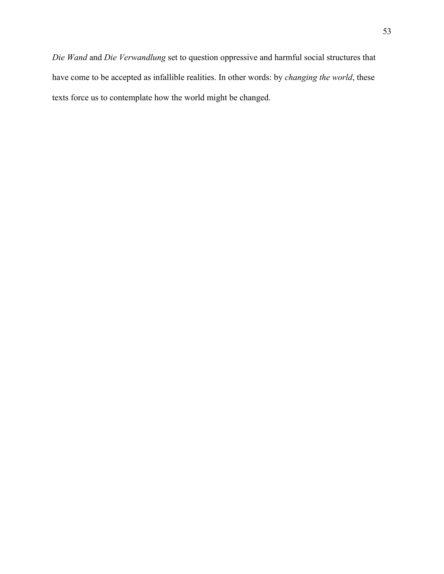*Die Wand* and *Die Verwandlung* set to question oppressive and harmful social structures that have come to be accepted as infallible realities. In other words: by *changing the world*, these texts force us to contemplate how the world might be changed.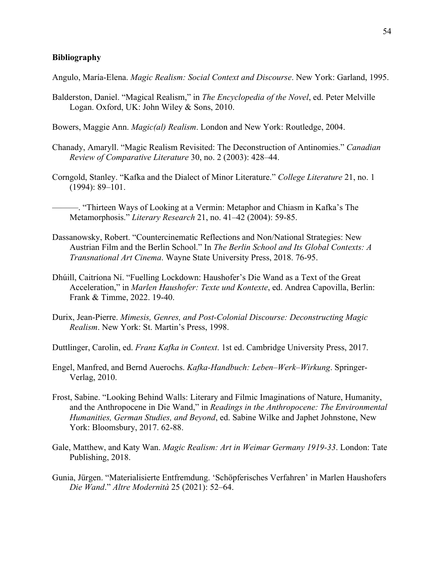#### **Bibliography**

Angulo, María-Elena. *Magic Realism: Social Context and Discourse*. New York: Garland, 1995.

- Balderston, Daniel. "Magical Realism," in *The Encyclopedia of the Novel*, ed. Peter Melville Logan. Oxford, UK: John Wiley & Sons, 2010.
- Bowers, Maggie Ann. *Magic(al) Realism*. London and New York: Routledge, 2004.
- Chanady, Amaryll. "Magic Realism Revisited: The Deconstruction of Antinomies." *Canadian Review of Comparative Literature* 30, no. 2 (2003): 428–44.
- Corngold, Stanley. "Kafka and the Dialect of Minor Literature." *College Literature* 21, no. 1 (1994): 89–101.
	- ———. "Thirteen Ways of Looking at a Vermin: Metaphor and Chiasm in Kafka's The Metamorphosis." *Literary Research* 21, no. 41–42 (2004): 59-85.
- Dassanowsky, Robert. "Countercinematic Reflections and Non/National Strategies: New Austrian Film and the Berlin School." In *The Berlin School and Its Global Contexts: A Transnational Art Cinema*. Wayne State University Press, 2018. 76-95.
- Dhúill, Caitríona Ní. "Fuelling Lockdown: Haushofer's Die Wand as a Text of the Great Acceleration," in *Marlen Haushofer: Texte und Kontexte*, ed. Andrea Capovilla, Berlin: Frank & Timme, 2022. 19-40.
- Durix, Jean-Pierre. *Mimesis, Genres, and Post-Colonial Discourse: Deconstructing Magic Realism*. New York: St. Martin's Press, 1998.

Duttlinger, Carolin, ed. *Franz Kafka in Context*. 1st ed. Cambridge University Press, 2017.

- Engel, Manfred, and Bernd Auerochs. *Kafka-Handbuch: Leben–Werk–Wirkung*. Springer-Verlag, 2010.
- Frost, Sabine. "Looking Behind Walls: Literary and Filmic Imaginations of Nature, Humanity, and the Anthropocene in Die Wand," in *Readings in the Anthropocene: The Environmental Humanities, German Studies, and Beyond*, ed. Sabine Wilke and Japhet Johnstone, New York: Bloomsbury, 2017. 62-88.
- Gale, Matthew, and Katy Wan. *Magic Realism: Art in Weimar Germany 1919-33*. London: Tate Publishing, 2018.
- Gunia, Jürgen. "Materialisierte Entfremdung. 'Schöpferisches Verfahren' in Marlen Haushofers *Die Wand*." *Altre Modernità* 25 (2021): 52–64.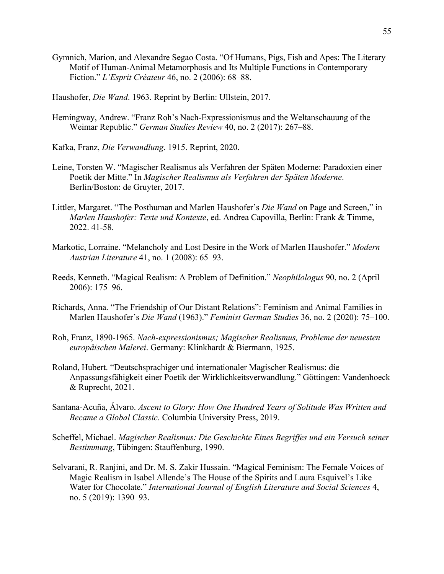- Gymnich, Marion, and Alexandre Segao Costa. "Of Humans, Pigs, Fish and Apes: The Literary Motif of Human-Animal Metamorphosis and Its Multiple Functions in Contemporary Fiction." *L'Esprit Créateur* 46, no. 2 (2006): 68–88.
- Haushofer, *Die Wand*. 1963. Reprint by Berlin: Ullstein, 2017.
- Hemingway, Andrew. "Franz Roh's Nach-Expressionismus and the Weltanschauung of the Weimar Republic." *German Studies Review* 40, no. 2 (2017): 267–88.
- Kafka, Franz, *Die Verwandlung*. 1915. Reprint, 2020.
- Leine, Torsten W. "Magischer Realismus als Verfahren der Späten Moderne: Paradoxien einer Poetik der Mitte." In *Magischer Realismus als Verfahren der Späten Moderne*. Berlin/Boston: de Gruyter, 2017.
- Littler, Margaret. "The Posthuman and Marlen Haushofer's *Die Wand* on Page and Screen," in *Marlen Haushofer: Texte und Kontexte*, ed. Andrea Capovilla, Berlin: Frank & Timme, 2022. 41-58.
- Markotic, Lorraine. "Melancholy and Lost Desire in the Work of Marlen Haushofer." *Modern Austrian Literature* 41, no. 1 (2008): 65–93.
- Reeds, Kenneth. "Magical Realism: A Problem of Definition." *Neophilologus* 90, no. 2 (April 2006): 175–96.
- Richards, Anna. "The Friendship of Our Distant Relations": Feminism and Animal Families in Marlen Haushofer's *Die Wand* (1963)." *Feminist German Studies* 36, no. 2 (2020): 75–100.
- Roh, Franz, 1890-1965. *Nach-expressionismus; Magischer Realismus, Probleme der neuesten europäischen Malerei*. Germany: Klinkhardt & Biermann, 1925.
- Roland, Hubert. "Deutschsprachiger und internationaler Magischer Realismus: die Anpassungsfähigkeit einer Poetik der Wirklichkeitsverwandlung." Göttingen: Vandenhoeck & Ruprecht, 2021.
- Santana-Acuña, Álvaro. *Ascent to Glory: How One Hundred Years of Solitude Was Written and Became a Global Classic*. Columbia University Press, 2019.
- Scheffel, Michael. *Magischer Realismus: Die Geschichte Eines Begriffes und ein Versuch seiner Bestimmung*, Tübingen: Stauffenburg, 1990.
- Selvarani, R. Ranjini, and Dr. M. S. Zakir Hussain. "Magical Feminism: The Female Voices of Magic Realism in Isabel Allende's The House of the Spirits and Laura Esquivel's Like Water for Chocolate." *International Journal of English Literature and Social Sciences* 4, no. 5 (2019): 1390–93.